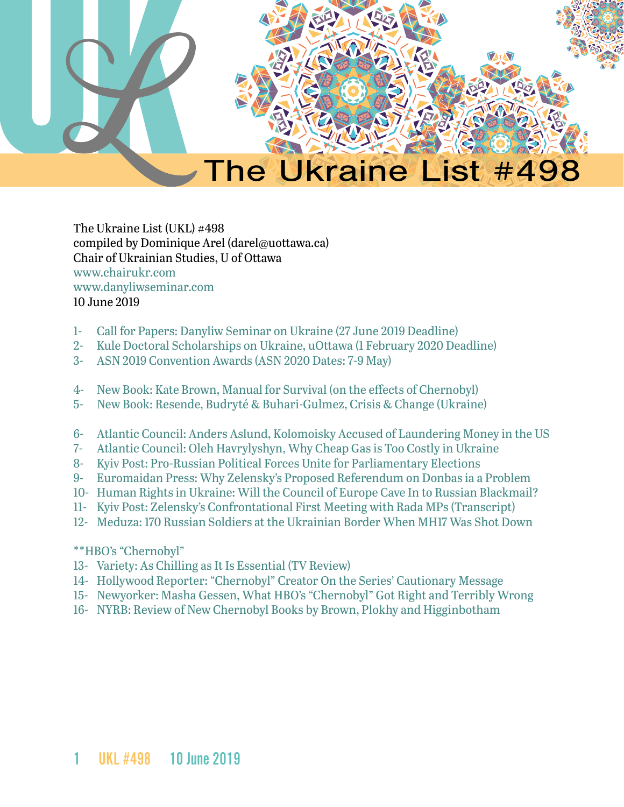

The Ukraine List (UKL) #498 compiled by Dominique Arel (darel@uottawa.ca) Chair of Ukrainian Studies, U of Ottawa [www.chairukr.com](http://www.chairukr.com) [www.danyliwseminar.com](http://www.danyliwseminar.com) 10 June 2019

- <span id="page-0-0"></span>1- [Call for Papers: Danyliw Seminar on Ukraine \(27 June 2019 Deadline\)](#page-1-0)
- 2- [Kule Doctoral Scholarships on Ukraine, uOttawa \(1 February 2020 Deadline\)](#page-3-0)
- 3- [ASN 2019 Convention Awards \(ASN 2020 Dates: 7-9 May\)](#page-4-0)
- 4- [New Book: Kate Brown, Manual for Survival \(on the effects of Chernobyl\)](#page-5-0)
- 5- [New Book: Resende, Budryté & Buhari-Gulmez, Crisis & Change \(Ukraine\)](#page-6-0)
- 6- [Atlantic Council: Anders Aslund, Kolomoisky Accused of Laundering Money in the US](#page-6-1)
- 7- [Atlantic Council: Oleh Havrylyshyn, Why Cheap Gas is Too Costly in Ukraine](#page-8-0)
- 8- [Kyiv Post: Pro-Russian Political Forces Unite for Parliamentary Elections](#page-10-0)
- 9- [Euromaidan Press: Why Zelensky's Proposed Referendum on Donbas ia a Problem](#page-12-0)
- 10- [Human Rights in Ukraine: Will the Council of Europe Cave In to Russian Blackmail?](#page-17-0)
- 11- Kyiv Post: Zelensky's Confrontational First Meeting with Rada MPs (Transcript)
- 12- [Meduza: 170 Russian Soldiers at the Ukrainian Border When MH17 Was Shot Down](#page-23-0)

#### \*\*HBO's "Chernobyl"

- 13- Variety: As Chilling as It Is Essential (TV Review)
- 14- Hollywood Reporter: "Chernobyl" Creator On the Series' Cautionary Message
- 15- [Newyorker: Masha Gessen, What HBO's "Chernobyl" Got Right and Terribly Wrong](#page-1-0)
- 16- [NYRB: Review of New Chernobyl Books by Brown, Plokhy and Higginbotham](#page-32-0)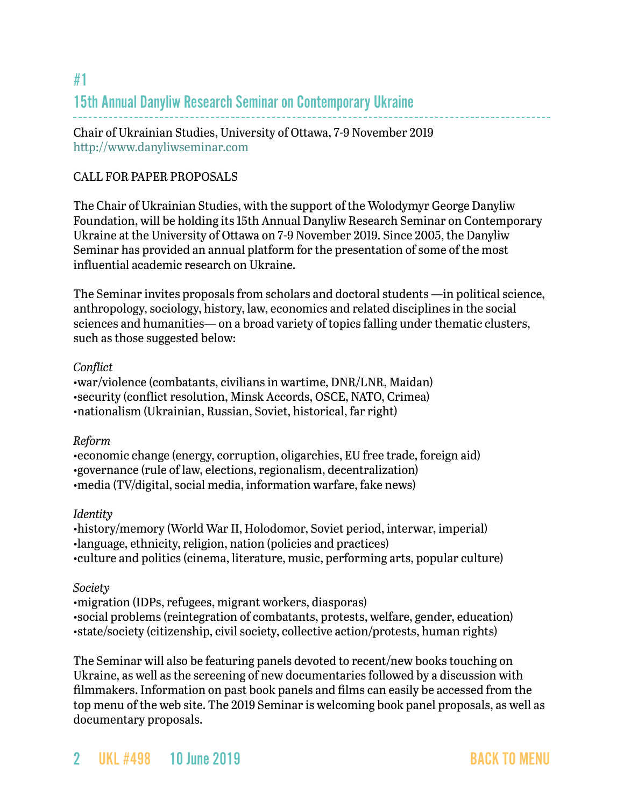## <span id="page-1-0"></span>#1 15th Annual Danyliw Research Seminar on Contemporary Ukraine

Chair of Ukrainian Studies, University of Ottawa, 7-9 November 2019 <http://www.danyliwseminar.com>

#### CALL FOR PAPER PROPOSALS

The Chair of Ukrainian Studies, with the support of the Wolodymyr George Danyliw Foundation, will be holding its 15th Annual Danyliw Research Seminar on Contemporary Ukraine at the University of Ottawa on 7-9 November 2019. Since 2005, the Danyliw Seminar has provided an annual platform for the presentation of some of the most influential academic research on Ukraine.

The Seminar invites proposals from scholars and doctoral students —in political science, anthropology, sociology, history, law, economics and related disciplines in the social sciences and humanities— on a broad variety of topics falling under thematic clusters, such as those suggested below:

#### *Conflict*

•war/violence (combatants, civilians in wartime, DNR/LNR, Maidan) •security (conflict resolution, Minsk Accords, OSCE, NATO, Crimea) •nationalism (Ukrainian, Russian, Soviet, historical, far right)

#### *Reform*

•economic change (energy, corruption, oligarchies, EU free trade, foreign aid) •governance (rule of law, elections, regionalism, decentralization) •media (TV/digital, social media, information warfare, fake news)

### *Identity*

•history/memory (World War II, Holodomor, Soviet period, interwar, imperial) •language, ethnicity, religion, nation (policies and practices) •culture and politics (cinema, literature, music, performing arts, popular culture)

#### *Society*

•migration (IDPs, refugees, migrant workers, diasporas)

•social problems (reintegration of combatants, protests, welfare, gender, education) •state/society (citizenship, civil society, collective action/protests, human rights)

The Seminar will also be featuring panels devoted to recent/new books touching on Ukraine, as well as the screening of new documentaries followed by a discussion with filmmakers. Information on past book panels and films can easily be accessed from the top menu of the web site. The 2019 Seminar is welcoming book panel proposals, as well as documentary proposals.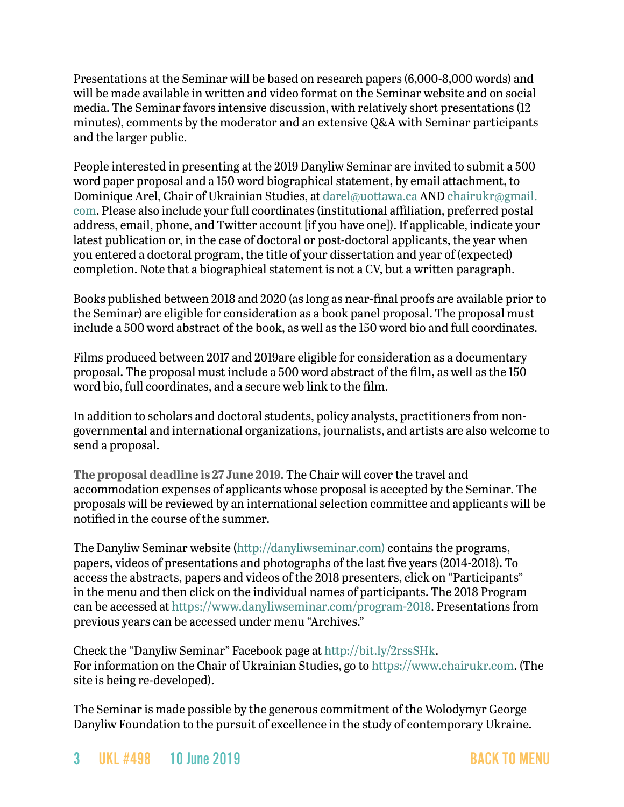Presentations at the Seminar will be based on research papers (6,000-8,000 words) and will be made available in written and video format on the Seminar website and on social media. The Seminar favors intensive discussion, with relatively short presentations (12 minutes), comments by the moderator and an extensive Q&A with Seminar participants and the larger public.

People interested in presenting at the 2019 Danyliw Seminar are invited to submit a 500 word paper proposal and a 150 word biographical statement, by email attachment, to Dominique Arel, Chair of Ukrainian Studies, at [darel@uottawa.ca](mailto:darel@uottawa.ca) AND [chairukr@gmail.](mailto:chairukr@gmail.com) [com](mailto:chairukr@gmail.com). Please also include your full coordinates (institutional affiliation, preferred postal address, email, phone, and Twitter account [if you have one]). If applicable, indicate your latest publication or, in the case of doctoral or post-doctoral applicants, the year when you entered a doctoral program, the title of your dissertation and year of (expected) completion. Note that a biographical statement is not a CV, but a written paragraph.

Books published between 2018 and 2020 (as long as near-final proofs are available prior to the Seminar) are eligible for consideration as a book panel proposal. The proposal must include a 500 word abstract of the book, as well as the 150 word bio and full coordinates.

Films produced between 2017 and 2019are eligible for consideration as a documentary proposal. The proposal must include a 500 word abstract of the film, as well as the 150 word bio, full coordinates, and a secure web link to the film.

In addition to scholars and doctoral students, policy analysts, practitioners from nongovernmental and international organizations, journalists, and artists are also welcome to send a proposal.

**The proposal deadline is 27 June 2019.** The Chair will cover the travel and accommodation expenses of applicants whose proposal is accepted by the Seminar. The proposals will be reviewed by an international selection committee and applicants will be notified in the course of the summer.

The Danyliw Seminar website [\(http://danyliwseminar.com\)](http://danyliwseminar.com)) contains the programs, papers, videos of presentations and photographs of the last five years (2014-2018). To access the abstracts, papers and videos of the 2018 presenters, click on "Participants" in the menu and then click on the individual names of participants. The 2018 Program can be accessed at [https://www.danyliwseminar.com/program-2018.](https://www.danyliwseminar.com/program-2018) Presentations from previous years can be accessed under menu "Archives."

Check the "Danyliw Seminar" Facebook page at<http://bit.ly/2rssSHk>. For information on the Chair of Ukrainian Studies, go to <https://www.chairukr.com>. (The site is being re-developed).

The Seminar is made possible by the generous commitment of the Wolodymyr George Danyliw Foundation to the pursuit of excellence in the study of contemporary Ukraine.

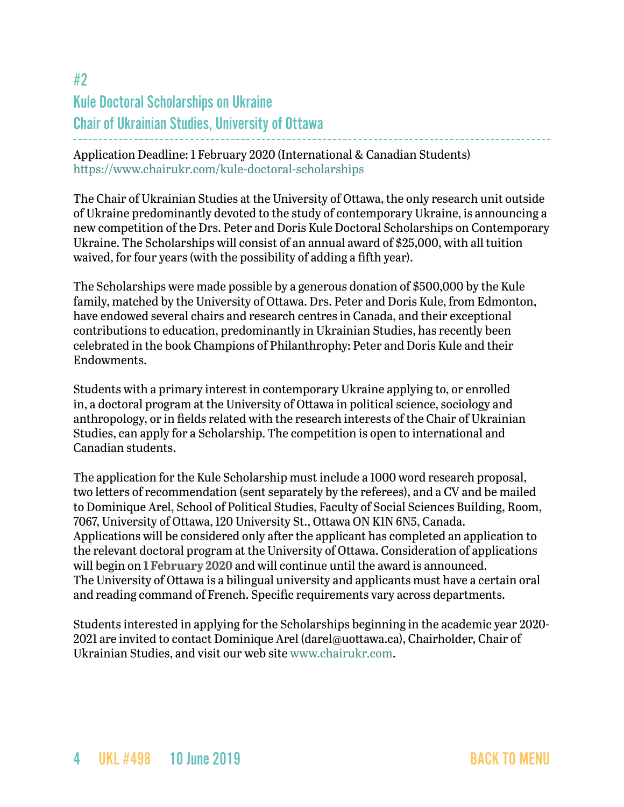# <span id="page-3-0"></span>#2 Kule Doctoral Scholarships on Ukraine Chair of Ukrainian Studies, University of Ottawa

Application Deadline: 1 February 2020 (International & Canadian Students) <https://www.chairukr.com/kule-doctoral-scholarships>

The Chair of Ukrainian Studies at the University of Ottawa, the only research unit outside of Ukraine predominantly devoted to the study of contemporary Ukraine, is announcing a new competition of the Drs. Peter and Doris Kule Doctoral Scholarships on Contemporary Ukraine. The Scholarships will consist of an annual award of \$25,000, with all tuition waived, for four years (with the possibility of adding a fifth year).

The Scholarships were made possible by a generous donation of \$500,000 by the Kule family, matched by the University of Ottawa. Drs. Peter and Doris Kule, from Edmonton, have endowed several chairs and research centres in Canada, and their exceptional contributions to education, predominantly in Ukrainian Studies, has recently been celebrated in the book Champions of Philanthrophy: Peter and Doris Kule and their Endowments.

Students with a primary interest in contemporary Ukraine applying to, or enrolled in, a doctoral program at the University of Ottawa in political science, sociology and anthropology, or in fields related with the research interests of the Chair of Ukrainian Studies, can apply for a Scholarship. The competition is open to international and Canadian students.

The application for the Kule Scholarship must include a 1000 word research proposal, two letters of recommendation (sent separately by the referees), and a CV and be mailed to Dominique Arel, School of Political Studies, Faculty of Social Sciences Building, Room, 7067, University of Ottawa, 120 University St., Ottawa ON K1N 6N5, Canada. Applications will be considered only after the applicant has completed an application to the relevant doctoral program at the University of Ottawa. Consideration of applications will begin on **1 February 2020** and will continue until the award is announced. The University of Ottawa is a bilingual university and applicants must have a certain oral and reading command of French. Specific requirements vary across departments.

Students interested in applying for the Scholarships beginning in the academic year 2020 2021 are invited to contact Dominique Arel ([darel@uottawa.ca\)](mailto:darel@uottawa.ca), Chairholder, Chair of Ukrainian Studies, and visit our web site [www.chairukr.com](http://www.chairukr.com).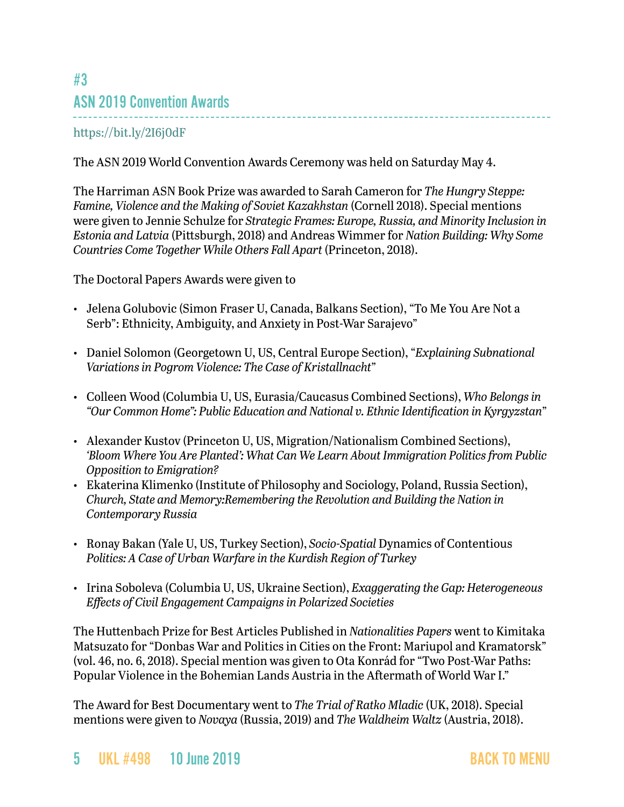## <span id="page-4-0"></span>#3 ASN 2019 Convention Awards

### <https://bit.ly/2I6j0dF>

The ASN 2019 World Convention Awards Ceremony was held on Saturday May 4.

The Harriman ASN Book Prize was awarded to Sarah Cameron for *The Hungry Steppe: Famine, Violence and the Making of Soviet Kazakhstan* (Cornell 2018). Special mentions were given to Jennie Schulze for *Strategic Frames: Europe, Russia, and Minority Inclusion in Estonia and Latvia* (Pittsburgh, 2018) and Andreas Wimmer for *Nation Building: Why Some Countries Come Together While Others Fall Apart* (Princeton, 2018).

The Doctoral Papers Awards were given to

- Jelena Golubovic (Simon Fraser U, Canada, Balkans Section), "To Me You Are Not a Serb": Ethnicity, Ambiguity, and Anxiety in Post-War Sarajevo"
- Daniel Solomon (Georgetown U, US, Central Europe Section), "*Explaining Subnational Variations in Pogrom Violence: The Case of Kristallnacht*"
- Colleen Wood (Columbia U, US, Eurasia/Caucasus Combined Sections), *Who Belongs in "Our Common Home": Public Education and National v. Ethnic Identification in Kyrgyzstan*"
- Alexander Kustov (Princeton U, US, Migration/Nationalism Combined Sections), *'Bloom Where You Are Planted': What Can We Learn About Immigration Politics from Public Opposition to Emigration?*
- Ekaterina Klimenko (Institute of Philosophy and Sociology, Poland, Russia Section), *Church, State and Memory:Remembering the Revolution and Building the Nation in Contemporary Russia*
- Ronay Bakan (Yale U, US, Turkey Section), *Socio-Spatial* Dynamics of Contentious *Politics: A Case of Urban Warfare in the Kurdish Region of Turkey*
- Irina Soboleva (Columbia U, US, Ukraine Section), *Exaggerating the Gap: Heterogeneous Effects of Civil Engagement Campaigns in Polarized Societies*

The Huttenbach Prize for Best Articles Published in *Nationalities Papers* went to Kimitaka Matsuzato for "Donbas War and Politics in Cities on the Front: Mariupol and Kramatorsk" (vol. 46, no. 6, 2018). Special mention was given to Ota Konrád for "Two Post-War Paths: Popular Violence in the Bohemian Lands Austria in the Aftermath of World War I."

The Award for Best Documentary went to *The Trial of Ratko Mladic* (UK, 2018). Special mentions were given to *Novaya* (Russia, 2019) and *The Waldheim Waltz* (Austria, 2018).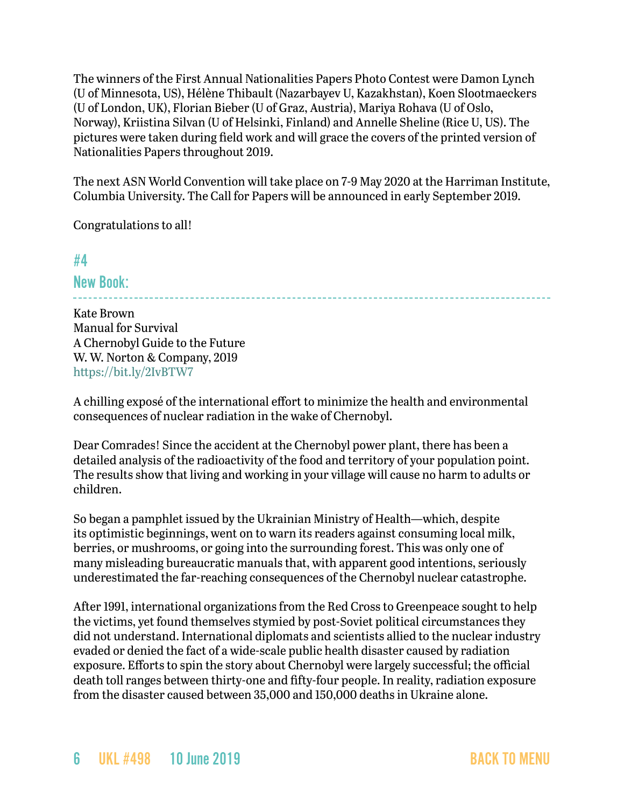The winners of the First Annual Nationalities Papers Photo Contest were Damon Lynch (U of Minnesota, US), Hélène Thibault (Nazarbayev U, Kazakhstan), Koen Slootmaeckers (U of London, UK), Florian Bieber (U of Graz, Austria), Mariya Rohava (U of Oslo, Norway), Kriistina Silvan (U of Helsinki, Finland) and Annelle Sheline (Rice U, US). The pictures were taken during field work and will grace the covers of the printed version of Nationalities Papers throughout 2019.

The next ASN World Convention will take place on 7-9 May 2020 at the Harriman Institute, Columbia University. The Call for Papers will be announced in early September 2019.

Congratulations to all!

### <span id="page-5-0"></span>#4

New Book:

Kate Brown Manual for Survival A Chernobyl Guide to the Future W. W. Norton & Company, 2019 <https://bit.ly/2IvBTW7>

A chilling exposé of the international effort to minimize the health and environmental consequences of nuclear radiation in the wake of Chernobyl.

Dear Comrades! Since the accident at the Chernobyl power plant, there has been a detailed analysis of the radioactivity of the food and territory of your population point. The results show that living and working in your village will cause no harm to adults or children.

So began a pamphlet issued by the Ukrainian Ministry of Health—which, despite its optimistic beginnings, went on to warn its readers against consuming local milk, berries, or mushrooms, or going into the surrounding forest. This was only one of many misleading bureaucratic manuals that, with apparent good intentions, seriously underestimated the far-reaching consequences of the Chernobyl nuclear catastrophe.

After 1991, international organizations from the Red Cross to Greenpeace sought to help the victims, yet found themselves stymied by post-Soviet political circumstances they did not understand. International diplomats and scientists allied to the nuclear industry evaded or denied the fact of a wide-scale public health disaster caused by radiation exposure. Efforts to spin the story about Chernobyl were largely successful; the official death toll ranges between thirty-one and fifty-four people. In reality, radiation exposure from the disaster caused between 35,000 and 150,000 deaths in Ukraine alone.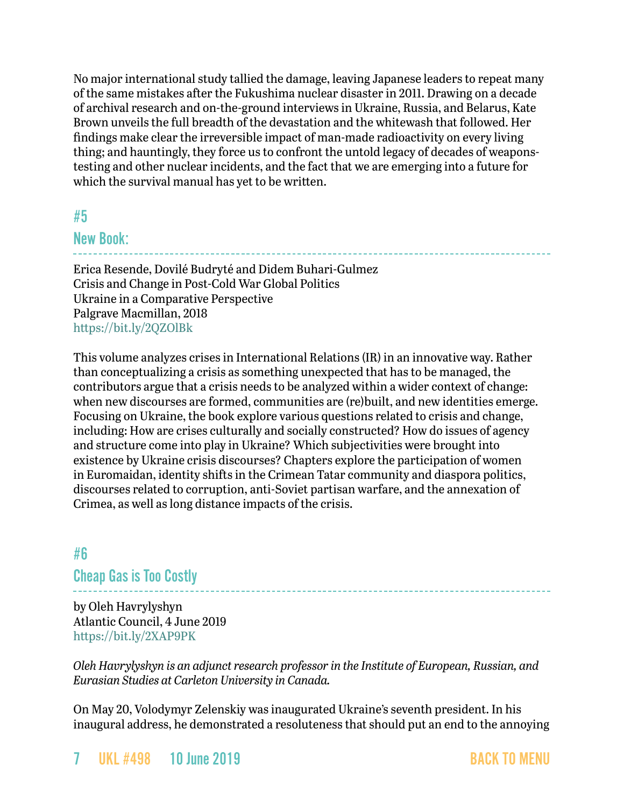No major international study tallied the damage, leaving Japanese leaders to repeat many of the same mistakes after the Fukushima nuclear disaster in 2011. Drawing on a decade of archival research and on-the-ground interviews in Ukraine, Russia, and Belarus, Kate Brown unveils the full breadth of the devastation and the whitewash that followed. Her findings make clear the irreversible impact of man-made radioactivity on every living thing; and hauntingly, they force us to confront the untold legacy of decades of weaponstesting and other nuclear incidents, and the fact that we are emerging into a future for which the survival manual has yet to be written.

### <span id="page-6-0"></span>#5

### New Book:

Erica Resende, Dovilé Budryté and Didem Buhari-Gulmez Crisis and Change in Post-Cold War Global Politics Ukraine in a Comparative Perspective Palgrave Macmillan, 2018 <https://bit.ly/2QZOlBk>

This volume analyzes crises in International Relations (IR) in an innovative way. Rather than conceptualizing a crisis as something unexpected that has to be managed, the contributors argue that a crisis needs to be analyzed within a wider context of change: when new discourses are formed, communities are (re)built, and new identities emerge. Focusing on Ukraine, the book explore various questions related to crisis and change, including: How are crises culturally and socially constructed? How do issues of agency and structure come into play in Ukraine? Which subjectivities were brought into existence by Ukraine crisis discourses? Chapters explore the participation of women in Euromaidan, identity shifts in the Crimean Tatar community and diaspora politics, discourses related to corruption, anti-Soviet partisan warfare, and the annexation of Crimea, as well as long distance impacts of the crisis.

### <span id="page-6-1"></span>#6

Cheap Gas is Too Costly

by Oleh Havrylyshyn Atlantic Council, 4 June 2019 <https://bit.ly/2XAP9PK>

*Oleh Havrylyshyn is an adjunct research professor in the Institute of European, Russian, and Eurasian Studies at Carleton University in Canada.*

On May 20, Volodymyr Zelenskiy was inaugurated Ukraine's seventh president. In his inaugural address, he demonstrated a resoluteness that should put an end to the annoying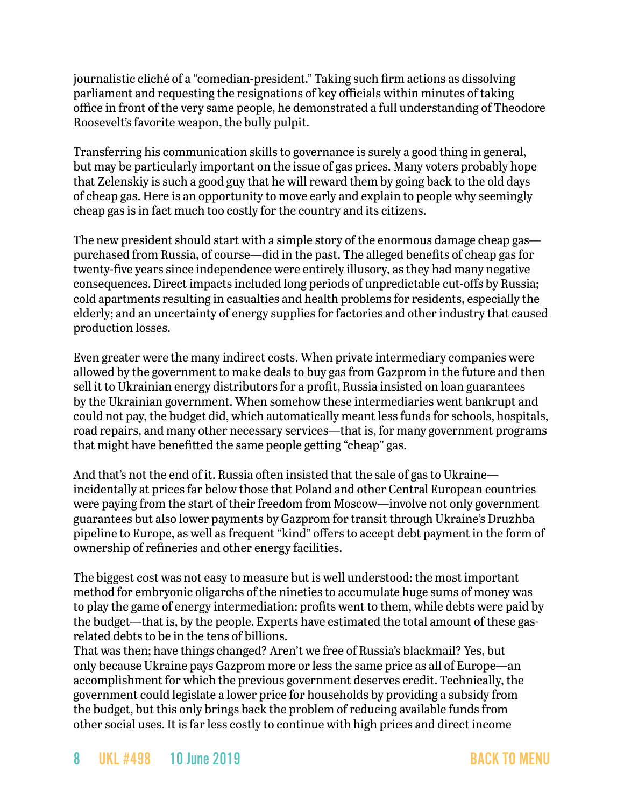journalistic cliché of a "comedian-president." Taking such firm actions as dissolving parliament and requesting the resignations of key officials within minutes of taking office in front of the very same people, he demonstrated a full understanding of Theodore Roosevelt's favorite weapon, the bully pulpit.

Transferring his communication skills to governance is surely a good thing in general, but may be particularly important on the issue of gas prices. Many voters probably hope that Zelenskiy is such a good guy that he will reward them by going back to the old days of cheap gas. Here is an opportunity to move early and explain to people why seemingly cheap gas is in fact much too costly for the country and its citizens.

The new president should start with a simple story of the enormous damage cheap gas purchased from Russia, of course—did in the past. The alleged benefits of cheap gas for twenty-five years since independence were entirely illusory, as they had many negative consequences. Direct impacts included long periods of unpredictable cut-offs by Russia; cold apartments resulting in casualties and health problems for residents, especially the elderly; and an uncertainty of energy supplies for factories and other industry that caused production losses.

Even greater were the many indirect costs. When private intermediary companies were allowed by the government to make deals to buy gas from Gazprom in the future and then sell it to Ukrainian energy distributors for a profit, Russia insisted on loan guarantees by the Ukrainian government. When somehow these intermediaries went bankrupt and could not pay, the budget did, which automatically meant less funds for schools, hospitals, road repairs, and many other necessary services—that is, for many government programs that might have benefitted the same people getting "cheap" gas.

And that's not the end of it. Russia often insisted that the sale of gas to Ukraine incidentally at prices far below those that Poland and other Central European countries were paying from the start of their freedom from Moscow—involve not only government guarantees but also lower payments by Gazprom for transit through Ukraine's Druzhba pipeline to Europe, as well as frequent "kind" offers to accept debt payment in the form of ownership of refineries and other energy facilities.

The biggest cost was not easy to measure but is well understood: the most important method for embryonic oligarchs of the nineties to accumulate huge sums of money was to play the game of energy intermediation: profits went to them, while debts were paid by the budget—that is, by the people. Experts have estimated the total amount of these gasrelated debts to be in the tens of billions.

That was then; have things changed? Aren't we free of Russia's blackmail? Yes, but only because Ukraine pays Gazprom more or less the same price as all of Europe—an accomplishment for which the previous government deserves credit. Technically, the government could legislate a lower price for households by providing a subsidy from the budget, but this only brings back the problem of reducing available funds from other social uses. It is far less costly to continue with high prices and direct income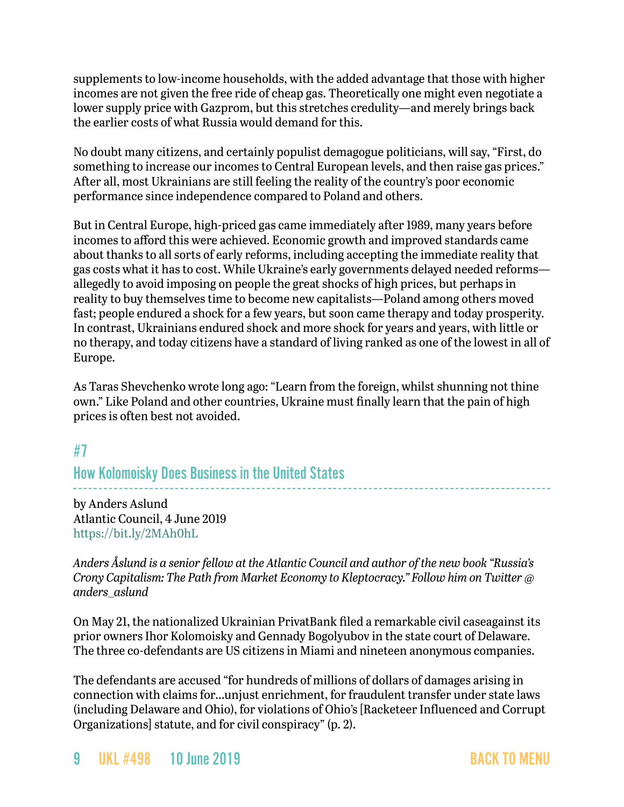supplements to low-income households, with the added advantage that those with higher incomes are not given the free ride of cheap gas. Theoretically one might even negotiate a lower supply price with Gazprom, but this stretches credulity—and merely brings back the earlier costs of what Russia would demand for this.

No doubt many citizens, and certainly populist demagogue politicians, will say, "First, do something to increase our incomes to Central European levels, and then raise gas prices." After all, most Ukrainians are still feeling the reality of the country's poor economic performance since independence compared to Poland and others.

But in Central Europe, high-priced gas came immediately after 1989, many years before incomes to afford this were achieved. Economic growth and improved standards came about thanks to all sorts of early reforms, including accepting the immediate reality that gas costs what it has to cost. While Ukraine's early governments delayed needed reforms allegedly to avoid imposing on people the great shocks of high prices, but perhaps in reality to buy themselves time to become new capitalists—Poland among others moved fast; people endured a shock for a few years, but soon came therapy and today prosperity. In contrast, Ukrainians endured shock and more shock for years and years, with little or no therapy, and today citizens have a standard of living ranked as one of the lowest in all of Europe.

As Taras Shevchenko wrote long ago: "Learn from the foreign, whilst shunning not thine own." Like Poland and other countries, Ukraine must finally learn that the pain of high prices is often best not avoided.

### <span id="page-8-0"></span>#7

How Kolomoisky Does Business in the United States

by Anders Aslund Atlantic Council, 4 June 2019 <https://bit.ly/2MAh0hL>

*Anders Åslund is a senior fellow at the Atlantic Council and author of the new book "Russia's Crony Capitalism: The Path from Market Economy to Kleptocracy." Follow him on Twitter @ anders\_aslund*

On May 21, the nationalized Ukrainian PrivatBank filed a remarkable civil caseagainst its prior owners Ihor Kolomoisky and Gennady Bogolyubov in the state court of Delaware. The three co-defendants are US citizens in Miami and nineteen anonymous companies.

The defendants are accused "for hundreds of millions of dollars of damages arising in connection with claims for…unjust enrichment, for fraudulent transfer under state laws (including Delaware and Ohio), for violations of Ohio's [Racketeer Influenced and Corrupt Organizations] statute, and for civil conspiracy" (p. 2).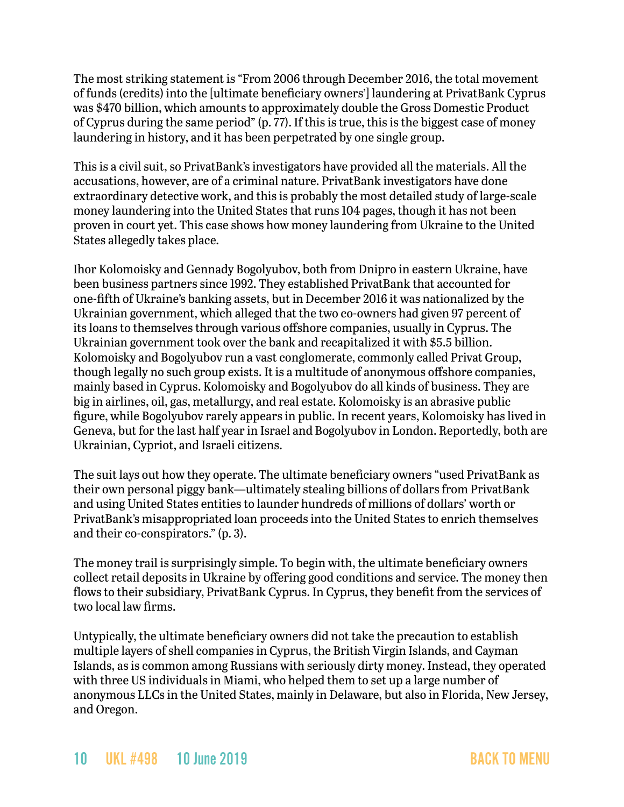The most striking statement is "From 2006 through December 2016, the total movement of funds (credits) into the [ultimate beneficiary owners'] laundering at PrivatBank Cyprus was \$470 billion, which amounts to approximately double the Gross Domestic Product of Cyprus during the same period" (p. 77). If this is true, this is the biggest case of money laundering in history, and it has been perpetrated by one single group.

This is a civil suit, so PrivatBank's investigators have provided all the materials. All the accusations, however, are of a criminal nature. PrivatBank investigators have done extraordinary detective work, and this is probably the most detailed study of large-scale money laundering into the United States that runs 104 pages, though it has not been proven in court yet. This case shows how money laundering from Ukraine to the United States allegedly takes place.

Ihor Kolomoisky and Gennady Bogolyubov, both from Dnipro in eastern Ukraine, have been business partners since 1992. They established PrivatBank that accounted for one-fifth of Ukraine's banking assets, but in December 2016 it was nationalized by the Ukrainian government, which alleged that the two co-owners had given 97 percent of its loans to themselves through various offshore companies, usually in Cyprus. The Ukrainian government took over the bank and recapitalized it with \$5.5 billion. Kolomoisky and Bogolyubov run a vast conglomerate, commonly called Privat Group, though legally no such group exists. It is a multitude of anonymous offshore companies, mainly based in Cyprus. Kolomoisky and Bogolyubov do all kinds of business. They are big in airlines, oil, gas, metallurgy, and real estate. Kolomoisky is an abrasive public figure, while Bogolyubov rarely appears in public. In recent years, Kolomoisky has lived in Geneva, but for the last half year in Israel and Bogolyubov in London. Reportedly, both are Ukrainian, Cypriot, and Israeli citizens.

The suit lays out how they operate. The ultimate beneficiary owners "used PrivatBank as their own personal piggy bank—ultimately stealing billions of dollars from PrivatBank and using United States entities to launder hundreds of millions of dollars' worth or PrivatBank's misappropriated loan proceeds into the United States to enrich themselves and their co-conspirators." (p. 3).

The money trail is surprisingly simple. To begin with, the ultimate beneficiary owners collect retail deposits in Ukraine by offering good conditions and service. The money then flows to their subsidiary, PrivatBank Cyprus. In Cyprus, they benefit from the services of two local law firms.

Untypically, the ultimate beneficiary owners did not take the precaution to establish multiple layers of shell companies in Cyprus, the British Virgin Islands, and Cayman Islands, as is common among Russians with seriously dirty money. Instead, they operated with three US individuals in Miami, who helped them to set up a large number of anonymous LLCs in the United States, mainly in Delaware, but also in Florida, New Jersey, and Oregon.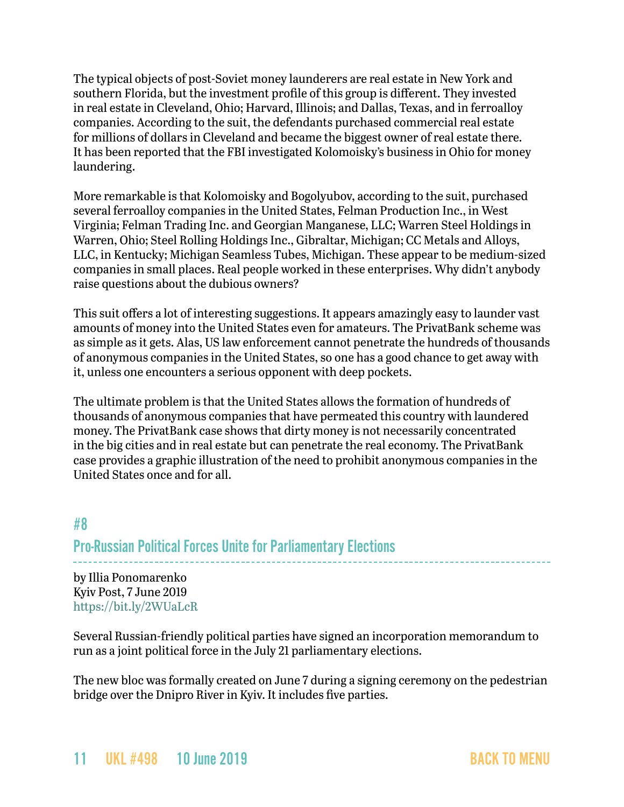The typical objects of post-Soviet money launderers are real estate in New York and southern Florida, but the investment profile of this group is different. They invested in real estate in Cleveland, Ohio; Harvard, Illinois; and Dallas, Texas, and in ferroalloy companies. According to the suit, the defendants purchased commercial real estate for millions of dollars in Cleveland and became the biggest owner of real estate there. It has been reported that the FBI investigated Kolomoisky's business in Ohio for money laundering.

More remarkable is that Kolomoisky and Bogolyubov, according to the suit, purchased several ferroalloy companies in the United States, Felman Production Inc., in West Virginia; Felman Trading Inc. and Georgian Manganese, LLC; Warren Steel Holdings in Warren, Ohio; Steel Rolling Holdings Inc., Gibraltar, Michigan; CC Metals and Alloys, LLC, in Kentucky; Michigan Seamless Tubes, Michigan. These appear to be medium-sized companies in small places. Real people worked in these enterprises. Why didn't anybody raise questions about the dubious owners?

This suit offers a lot of interesting suggestions. It appears amazingly easy to launder vast amounts of money into the United States even for amateurs. The PrivatBank scheme was as simple as it gets. Alas, US law enforcement cannot penetrate the hundreds of thousands of anonymous companies in the United States, so one has a good chance to get away with it, unless one encounters a serious opponent with deep pockets.

The ultimate problem is that the United States allows the formation of hundreds of thousands of anonymous companies that have permeated this country with laundered money. The PrivatBank case shows that dirty money is not necessarily concentrated in the big cities and in real estate but can penetrate the real economy. The PrivatBank case provides a graphic illustration of the need to prohibit anonymous companies in the United States once and for all.

### <span id="page-10-0"></span>#8 Pro-Russian Political Forces Unite for Parliamentary Elections

by Illia Ponomarenko Kyiv Post, 7 June 2019 <https://bit.ly/2WUaLcR>

Several Russian-friendly political parties have signed an incorporation memorandum to run as a joint political force in the July 21 parliamentary elections.

The new bloc was formally created on June 7 during a signing ceremony on the pedestrian bridge over the Dnipro River in Kyiv. It includes five parties.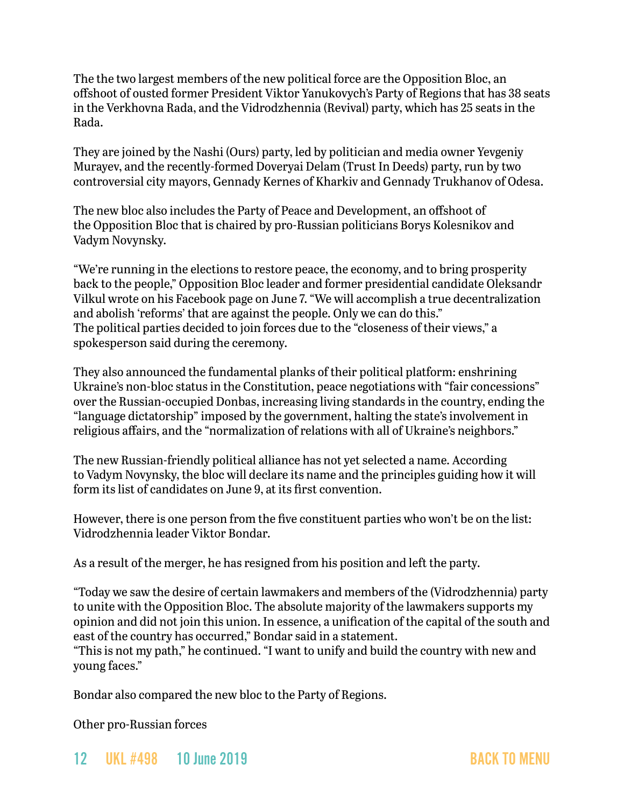The the two largest members of the new political force are the Opposition Bloc, an offshoot of ousted former President Viktor Yanukovych's Party of Regions that has 38 seats in the Verkhovna Rada, and the Vidrodzhennia (Revival) party, which has 25 seats in the Rada.

They are joined by the Nashi (Ours) party, led by politician and media owner Yevgeniy Murayev, and the recently-formed Doveryai Delam (Trust In Deeds) party, run by two controversial city mayors, Gennady Kernes of Kharkiv and Gennady Trukhanov of Odesa.

The new bloc also includes the Party of Peace and Development, an offshoot of the Opposition Bloc that is chaired by pro-Russian politicians Borys Kolesnikov and Vadym Novynsky.

"We're running in the elections to restore peace, the economy, and to bring prosperity back to the people," Opposition Bloc leader and former presidential candidate Oleksandr Vilkul wrote on his Facebook page on June 7. "We will accomplish a true decentralization and abolish 'reforms' that are against the people. Only we can do this." The political parties decided to join forces due to the "closeness of their views," a spokesperson said during the ceremony.

They also announced the fundamental planks of their political platform: enshrining Ukraine's non-bloc status in the Constitution, peace negotiations with "fair concessions" over the Russian-occupied Donbas, increasing living standards in the country, ending the "language dictatorship" imposed by the government, halting the state's involvement in religious affairs, and the "normalization of relations with all of Ukraine's neighbors."

The new Russian-friendly political alliance has not yet selected a name. According to Vadym Novynsky, the bloc will declare its name and the principles guiding how it will form its list of candidates on June 9, at its first convention.

However, there is one person from the five constituent parties who won't be on the list: Vidrodzhennia leader Viktor Bondar.

As a result of the merger, he has resigned from his position and left the party.

"Today we saw the desire of certain lawmakers and members of the (Vidrodzhennia) party to unite with the Opposition Bloc. The absolute majority of the lawmakers supports my opinion and did not join this union. In essence, a unification of the capital of the south and east of the country has occurred," Bondar said in a statement. "This is not my path," he continued. "I want to unify and build the country with new and young faces."

Bondar also compared the new bloc to the Party of Regions.

Other pro-Russian forces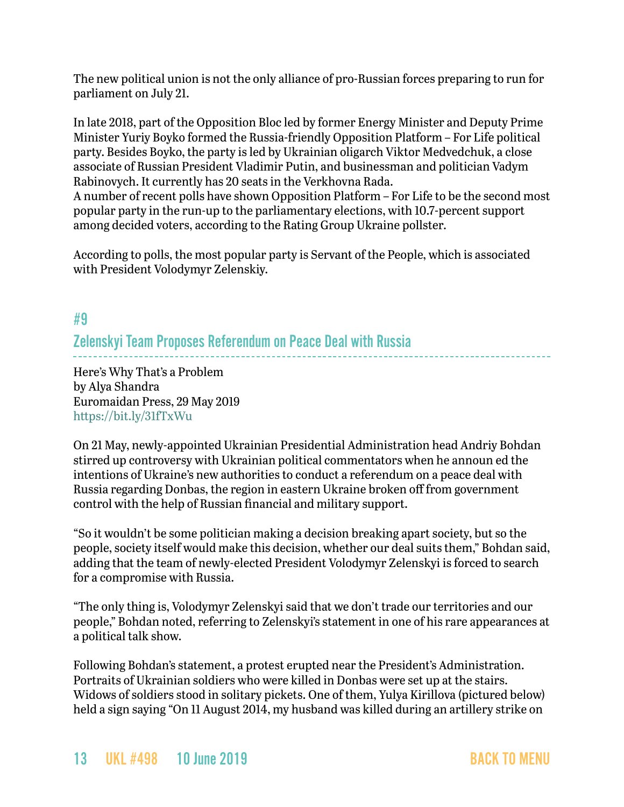The new political union is not the only alliance of pro-Russian forces preparing to run for parliament on July 21.

In late 2018, part of the Opposition Bloc led by former Energy Minister and Deputy Prime Minister Yuriy Boyko formed the Russia-friendly Opposition Platform – For Life political party. Besides Boyko, the party is led by Ukrainian oligarch Viktor Medvedchuk, a close associate of Russian President Vladimir Putin, and businessman and politician Vadym Rabinovych. It currently has 20 seats in the Verkhovna Rada.

A number of recent polls have shown Opposition Platform – For Life to be the second most popular party in the run-up to the parliamentary elections, with 10.7-percent support among decided voters, according to the Rating Group Ukraine pollster.

According to polls, the most popular party is Servant of the People, which is associated with President Volodymyr Zelenskiy.

### <span id="page-12-0"></span>#9

Zelenskyi Team Proposes Referendum on Peace Deal with Russia

Here's Why That's a Problem by Alya Shandra Euromaidan Press, 29 May 2019 <https://bit.ly/31fTxWu>

On 21 May, newly-appointed Ukrainian Presidential Administration head Andriy Bohdan stirred up controversy with Ukrainian political commentators when he announ ed the intentions of Ukraine's new authorities to conduct a referendum on a peace deal with Russia regarding Donbas, the region in eastern Ukraine broken off from government control with the help of Russian financial and military support.

"So it wouldn't be some politician making a decision breaking apart society, but so the people, society itself would make this decision, whether our deal suits them," Bohdan said, adding that the team of newly-elected President Volodymyr Zelenskyi is forced to search for a compromise with Russia.

"The only thing is, Volodymyr Zelenskyi said that we don't trade our territories and our people," Bohdan noted, referring to Zelenskyi's statement in one of his rare appearances at a political talk show.

Following Bohdan's statement, a protest erupted near the President's Administration. Portraits of Ukrainian soldiers who were killed in Donbas were set up at the stairs. Widows of soldiers stood in solitary pickets. One of them, Yulya Kirillova (pictured below) held a sign saying "On 11 August 2014, my husband was killed during an artillery strike on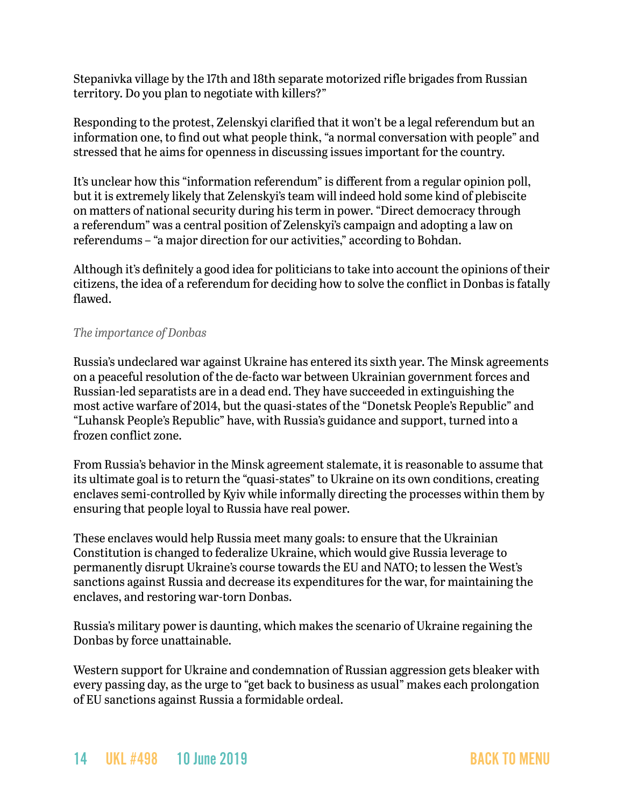Stepanivka village by the 17th and 18th separate motorized rifle brigades from Russian territory. Do you plan to negotiate with killers?"

Responding to the protest, Zelenskyi clarified that it won't be a legal referendum but an information one, to find out what people think, "a normal conversation with people" and stressed that he aims for openness in discussing issues important for the country.

It's unclear how this "information referendum" is different from a regular opinion poll, but it is extremely likely that Zelenskyi's team will indeed hold some kind of plebiscite on matters of national security during his term in power. "Direct democracy through a referendum" was a central position of Zelenskyi's campaign and adopting a law on referendums – "a major direction for our activities," according to Bohdan.

Although it's definitely a good idea for politicians to take into account the opinions of their citizens, the idea of a referendum for deciding how to solve the conflict in Donbas is fatally flawed.

#### *The importance of Donbas*

Russia's undeclared war against Ukraine has entered its sixth year. The Minsk agreements on a peaceful resolution of the de-facto war between Ukrainian government forces and Russian-led separatists are in a dead end. They have succeeded in extinguishing the most active warfare of 2014, but the quasi-states of the "Donetsk People's Republic" and "Luhansk People's Republic" have, with Russia's guidance and support, turned into a frozen conflict zone.

From Russia's behavior in the Minsk agreement stalemate, it is reasonable to assume that its ultimate goal is to return the "quasi-states" to Ukraine on its own conditions, creating enclaves semi-controlled by Kyiv while informally directing the processes within them by ensuring that people loyal to Russia have real power.

These enclaves would help Russia meet many goals: to ensure that the Ukrainian Constitution is changed to federalize Ukraine, which would give Russia leverage to permanently disrupt Ukraine's course towards the EU and NATO; to lessen the West's sanctions against Russia and decrease its expenditures for the war, for maintaining the enclaves, and restoring war-torn Donbas.

Russia's military power is daunting, which makes the scenario of Ukraine regaining the Donbas by force unattainable.

Western support for Ukraine and condemnation of Russian aggression gets bleaker with every passing day, as the urge to "get back to business as usual" makes each prolongation of EU sanctions against Russia a formidable ordeal.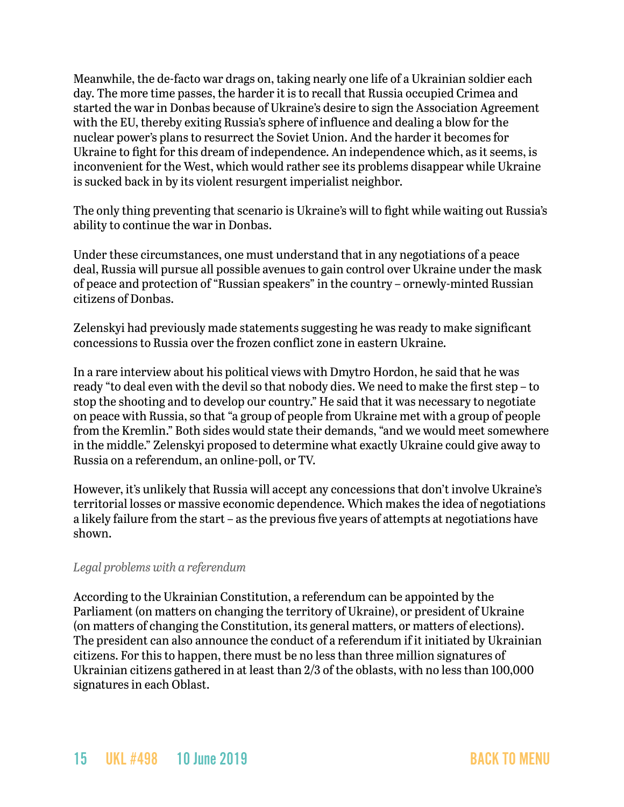Meanwhile, the de-facto war drags on, taking nearly one life of a Ukrainian soldier each day. The more time passes, the harder it is to recall that Russia occupied Crimea and started the war in Donbas because of Ukraine's desire to sign the Association Agreement with the EU, thereby exiting Russia's sphere of influence and dealing a blow for the nuclear power's plans to resurrect the Soviet Union. And the harder it becomes for Ukraine to fight for this dream of independence. An independence which, as it seems, is inconvenient for the West, which would rather see its problems disappear while Ukraine is sucked back in by its violent resurgent imperialist neighbor.

The only thing preventing that scenario is Ukraine's will to fight while waiting out Russia's ability to continue the war in Donbas.

Under these circumstances, one must understand that in any negotiations of a peace deal, Russia will pursue all possible avenues to gain control over Ukraine under the mask of peace and protection of "Russian speakers" in the country – ornewly-minted Russian citizens of Donbas.

Zelenskyi had previously made statements suggesting he was ready to make significant concessions to Russia over the frozen conflict zone in eastern Ukraine.

In a rare interview about his political views with Dmytro Hordon, he said that he was ready "to deal even with the devil so that nobody dies. We need to make the first step – to stop the shooting and to develop our country." He said that it was necessary to negotiate on peace with Russia, so that "a group of people from Ukraine met with a group of people from the Kremlin." Both sides would state their demands, "and we would meet somewhere in the middle." Zelenskyi proposed to determine what exactly Ukraine could give away to Russia on a referendum, an online-poll, or TV.

However, it's unlikely that Russia will accept any concessions that don't involve Ukraine's territorial losses or massive economic dependence. Which makes the idea of negotiations a likely failure from the start – as the previous five years of attempts at negotiations have shown.

#### *Legal problems with a referendum*

According to the Ukrainian Constitution, a referendum can be appointed by the Parliament (on matters on changing the territory of Ukraine), or president of Ukraine (on matters of changing the Constitution, its general matters, or matters of elections). The president can also announce the conduct of a referendum if it initiated by Ukrainian citizens. For this to happen, there must be no less than three million signatures of Ukrainian citizens gathered in at least than 2/3 of the oblasts, with no less than 100,000 signatures in each Oblast.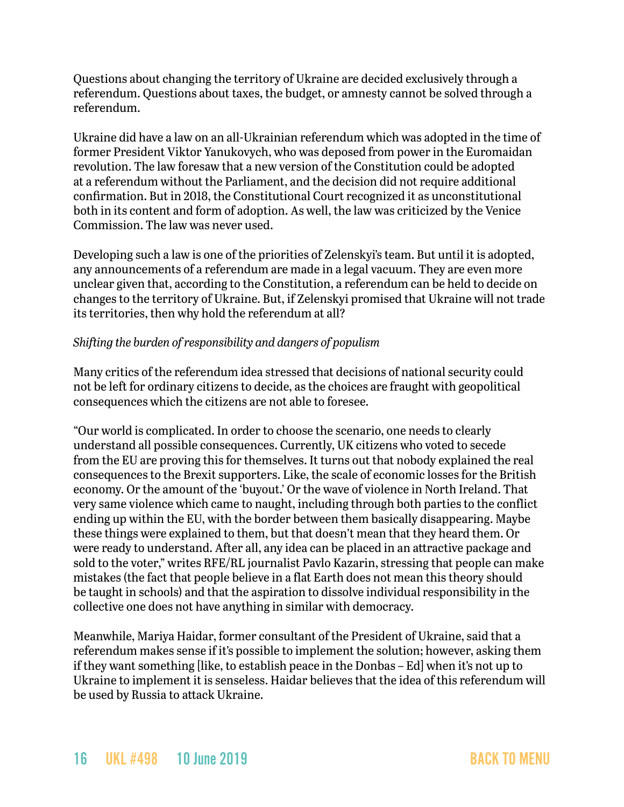Questions about changing the territory of Ukraine are decided exclusively through a referendum. Questions about taxes, the budget, or amnesty cannot be solved through a referendum.

Ukraine did have a law on an all-Ukrainian referendum which was adopted in the time of former President Viktor Yanukovych, who was deposed from power in the Euromaidan revolution. The law foresaw that a new version of the Constitution could be adopted at a referendum without the Parliament, and the decision did not require additional confirmation. But in 2018, the Constitutional Court recognized it as unconstitutional both in its content and form of adoption. As well, the law was criticized by the Venice Commission. The law was never used.

Developing such a law is one of the priorities of Zelenskyi's team. But until it is adopted, any announcements of a referendum are made in a legal vacuum. They are even more unclear given that, according to the Constitution, a referendum can be held to decide on changes to the territory of Ukraine. But, if Zelenskyi promised that Ukraine will not trade its territories, then why hold the referendum at all?

#### *Shifting the burden of responsibility and dangers of populism*

Many critics of the referendum idea stressed that decisions of national security could not be left for ordinary citizens to decide, as the choices are fraught with geopolitical consequences which the citizens are not able to foresee.

"Our world is complicated. In order to choose the scenario, one needs to clearly understand all possible consequences. Currently, UK citizens who voted to secede from the EU are proving this for themselves. It turns out that nobody explained the real consequences to the Brexit supporters. Like, the scale of economic losses for the British economy. Or the amount of the 'buyout.' Or the wave of violence in North Ireland. That very same violence which came to naught, including through both parties to the conflict ending up within the EU, with the border between them basically disappearing. Maybe these things were explained to them, but that doesn't mean that they heard them. Or were ready to understand. After all, any idea can be placed in an attractive package and sold to the voter," writes RFE/RL journalist Pavlo Kazarin, stressing that people can make mistakes (the fact that people believe in a flat Earth does not mean this theory should be taught in schools) and that the aspiration to dissolve individual responsibility in the collective one does not have anything in similar with democracy.

Meanwhile, Mariya Haidar, former consultant of the President of Ukraine, said that a referendum makes sense if it's possible to implement the solution; however, asking them if they want something [like, to establish peace in the Donbas – Ed] when it's not up to Ukraine to implement it is senseless. Haidar believes that the idea of this referendum will be used by Russia to attack Ukraine.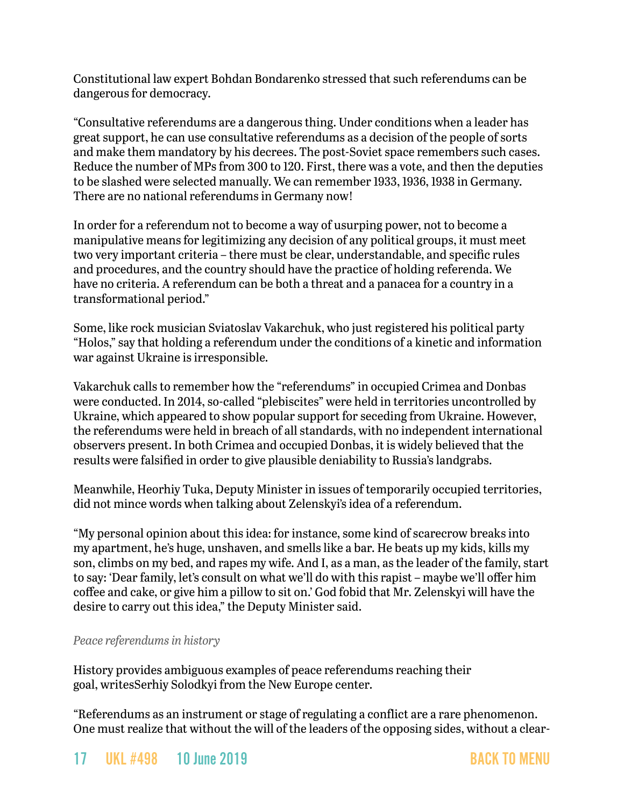Constitutional law expert Bohdan Bondarenko stressed that such referendums can be dangerous for democracy.

"Consultative referendums are a dangerous thing. Under conditions when a leader has great support, he can use consultative referendums as a decision of the people of sorts and make them mandatory by his decrees. The post-Soviet space remembers such cases. Reduce the number of MPs from 300 to 120. First, there was a vote, and then the deputies to be slashed were selected manually. We can remember 1933, 1936, 1938 in Germany. There are no national referendums in Germany now!

In order for a referendum not to become a way of usurping power, not to become a manipulative means for legitimizing any decision of any political groups, it must meet two very important criteria – there must be clear, understandable, and specific rules and procedures, and the country should have the practice of holding referenda. We have no criteria. A referendum can be both a threat and a panacea for a country in a transformational period."

Some, like rock musician Sviatoslav Vakarchuk, who just registered his political party "Holos," say that holding a referendum under the conditions of a kinetic and information war against Ukraine is irresponsible.

Vakarchuk calls to remember how the "referendums" in occupied Crimea and Donbas were conducted. In 2014, so-called "plebiscites" were held in territories uncontrolled by Ukraine, which appeared to show popular support for seceding from Ukraine. However, the referendums were held in breach of all standards, with no independent international observers present. In both Crimea and occupied Donbas, it is widely believed that the results were falsified in order to give plausible deniability to Russia's landgrabs.

Meanwhile, Heorhiy Tuka, Deputy Minister in issues of temporarily occupied territories, did not mince words when talking about Zelenskyi's idea of a referendum.

"My personal opinion about this idea: for instance, some kind of scarecrow breaks into my apartment, he's huge, unshaven, and smells like a bar. He beats up my kids, kills my son, climbs on my bed, and rapes my wife. And I, as a man, as the leader of the family, start to say: 'Dear family, let's consult on what we'll do with this rapist – maybe we'll offer him coffee and cake, or give him a pillow to sit on.' God fobid that Mr. Zelenskyi will have the desire to carry out this idea," the Deputy Minister said.

#### *Peace referendums in history*

History provides ambiguous examples of peace referendums reaching their goal, writesSerhiy Solodkyi from the New Europe center.

"Referendums as an instrument or stage of regulating a conflict are a rare phenomenon. One must realize that without the will of the leaders of the opposing sides, without a clear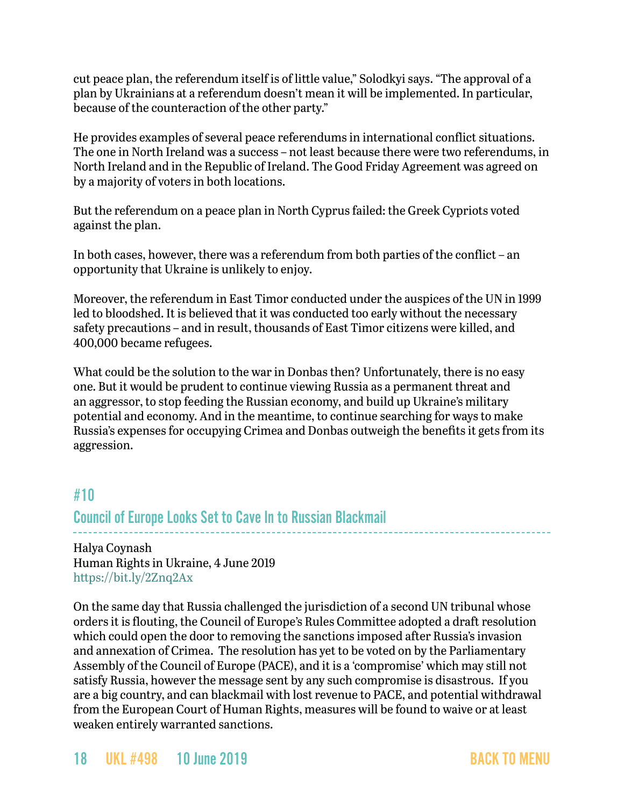cut peace plan, the referendum itself is of little value," Solodkyi says. "The approval of a plan by Ukrainians at a referendum doesn't mean it will be implemented. In particular, because of the counteraction of the other party."

He provides examples of several peace referendums in international conflict situations. The one in North Ireland was a success – not least because there were two referendums, in North Ireland and in the Republic of Ireland. The Good Friday Agreement was agreed on by a majority of voters in both locations.

But the referendum on a peace plan in North Cyprus failed: the Greek Cypriots voted against the plan.

In both cases, however, there was a referendum from both parties of the conflict – an opportunity that Ukraine is unlikely to enjoy.

Moreover, the referendum in East Timor conducted under the auspices of the UN in 1999 led to bloodshed. It is believed that it was conducted too early without the necessary safety precautions – and in result, thousands of East Timor citizens were killed, and 400,000 became refugees.

What could be the solution to the war in Donbas then? Unfortunately, there is no easy one. But it would be prudent to continue viewing Russia as a permanent threat and an aggressor, to stop feeding the Russian economy, and build up Ukraine's military potential and economy. And in the meantime, to continue searching for ways to make Russia's expenses for occupying Crimea and Donbas outweigh the benefits it gets from its aggression.

### <span id="page-17-0"></span>#10

Council of Europe Looks Set to Cave In to Russian Blackmail

Halya Coynash Human Rights in Ukraine, 4 June 2019 <https://bit.ly/2Znq2Ax>

On the same day that Russia challenged the jurisdiction of a second UN tribunal whose orders it is flouting, the Council of Europe's Rules Committee adopted a draft resolution which could open the door to removing the sanctions imposed after Russia's invasion and annexation of Crimea. The resolution has yet to be voted on by the Parliamentary Assembly of the Council of Europe (PACE), and it is a 'compromise' which may still not satisfy Russia, however the message sent by any such compromise is disastrous. If you are a big country, and can blackmail with lost revenue to PACE, and potential withdrawal from the European Court of Human Rights, measures will be found to waive or at least weaken entirely warranted sanctions.

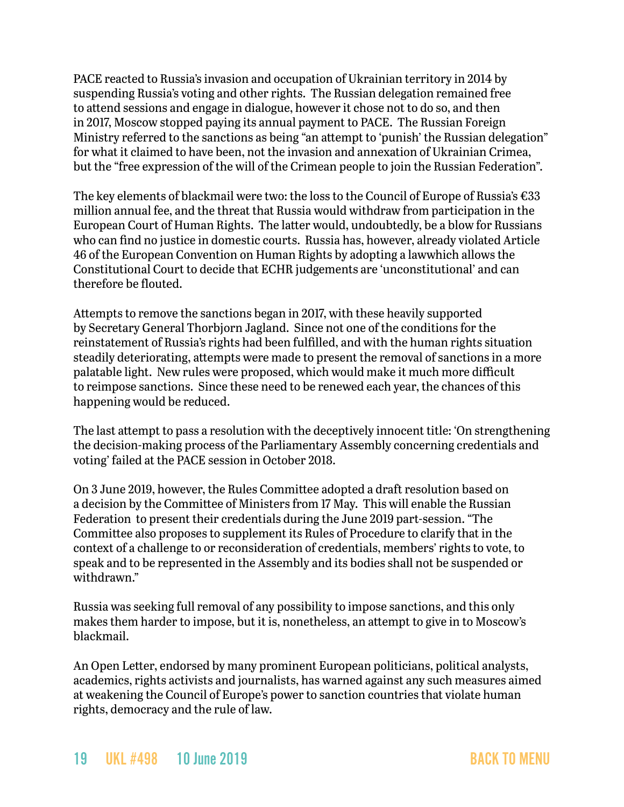PACE reacted to Russia's invasion and occupation of Ukrainian territory in 2014 by suspending Russia's voting and other rights. The Russian delegation remained free to attend sessions and engage in dialogue, however it chose not to do so, and then in 2017, Moscow stopped paying its annual payment to PACE. The Russian Foreign Ministry referred to the sanctions as being "an attempt to 'punish' the Russian delegation" for what it claimed to have been, not the invasion and annexation of Ukrainian Crimea, but the "free expression of the will of the Crimean people to join the Russian Federation".

The key elements of blackmail were two: the loss to the Council of Europe of Russia's €33 million annual fee, and the threat that Russia would withdraw from participation in the European Court of Human Rights. The latter would, undoubtedly, be a blow for Russians who can find no justice in domestic courts. Russia has, however, already violated Article 46 of the European Convention on Human Rights by adopting a lawwhich allows the Constitutional Court to decide that ECHR judgements are 'unconstitutional' and can therefore be flouted.

Attempts to remove the sanctions began in 2017, with these heavily supported by Secretary General Thorbjorn Jagland. Since not one of the conditions for the reinstatement of Russia's rights had been fulfilled, and with the human rights situation steadily deteriorating, attempts were made to present the removal of sanctions in a more palatable light. New rules were proposed, which would make it much more difficult to reimpose sanctions. Since these need to be renewed each year, the chances of this happening would be reduced.

The last attempt to pass a resolution with the deceptively innocent title: 'On strengthening the decision-making process of the Parliamentary Assembly concerning credentials and voting' failed at the PACE session in October 2018.

On 3 June 2019, however, the Rules Committee adopted a draft resolution based on a decision by the Committee of Ministers from 17 May. This will enable the Russian Federation to present their credentials during the June 2019 part-session. "The Committee also proposes to supplement its Rules of Procedure to clarify that in the context of a challenge to or reconsideration of credentials, members' rights to vote, to speak and to be represented in the Assembly and its bodies shall not be suspended or withdrawn."

Russia was seeking full removal of any possibility to impose sanctions, and this only makes them harder to impose, but it is, nonetheless, an attempt to give in to Moscow's blackmail.

An Open Letter, endorsed by many prominent European politicians, political analysts, academics, rights activists and journalists, has warned against any such measures aimed at weakening the Council of Europe's power to sanction countries that violate human rights, democracy and the rule of law.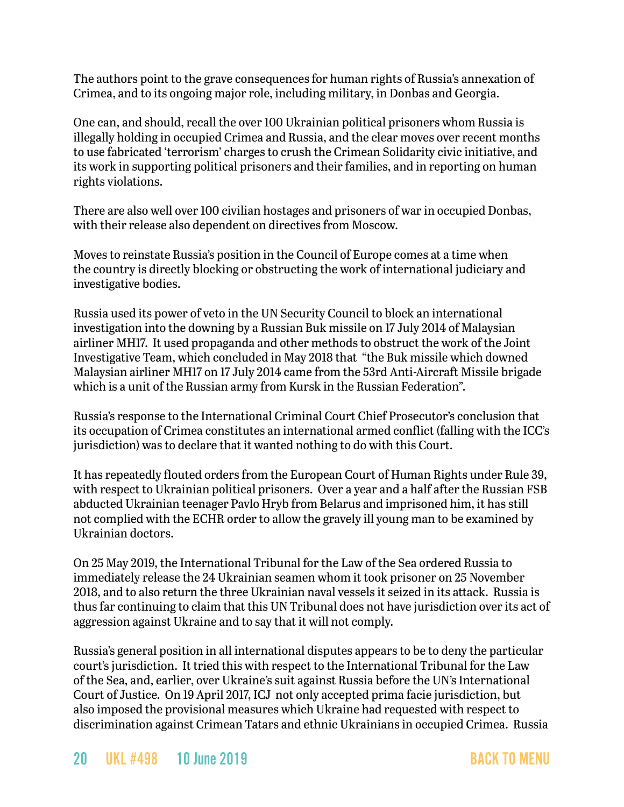The authors point to the grave consequences for human rights of Russia's annexation of Crimea, and to its ongoing major role, including military, in Donbas and Georgia.

One can, and should, recall the over 100 Ukrainian political prisoners whom Russia is illegally holding in occupied Crimea and Russia, and the clear moves over recent months to use fabricated 'terrorism' charges to crush the Crimean Solidarity civic initiative, and its work in supporting political prisoners and their families, and in reporting on human rights violations.

There are also well over 100 civilian hostages and prisoners of war in occupied Donbas, with their release also dependent on directives from Moscow.

Moves to reinstate Russia's position in the Council of Europe comes at a time when the country is directly blocking or obstructing the work of international judiciary and investigative bodies.

Russia used its power of veto in the UN Security Council to block an international investigation into the downing by a Russian Buk missile on 17 July 2014 of Malaysian airliner MH17. It used propaganda and other methods to obstruct the work of the Joint Investigative Team, which concluded in May 2018 that "the Buk missile which downed Malaysian airliner MH17 on 17 July 2014 came from the 53rd Anti-Aircraft Missile brigade which is a unit of the Russian army from Kursk in the Russian Federation".

Russia's response to the International Criminal Court Chief Prosecutor's conclusion that its occupation of Crimea constitutes an international armed conflict (falling with the ICC's jurisdiction) was to declare that it wanted nothing to do with this Court.

It has repeatedly flouted orders from the European Court of Human Rights under Rule 39, with respect to Ukrainian political prisoners. Over a year and a half after the Russian FSB abducted Ukrainian teenager Pavlo Hryb from Belarus and imprisoned him, it has still not complied with the ECHR order to allow the gravely ill young man to be examined by Ukrainian doctors.

On 25 May 2019, the International Tribunal for the Law of the Sea ordered Russia to immediately release the 24 Ukrainian seamen whom it took prisoner on 25 November 2018, and to also return the three Ukrainian naval vessels it seized in its attack. Russia is thus far continuing to claim that this UN Tribunal does not have jurisdiction over its act of aggression against Ukraine and to say that it will not comply.

Russia's general position in all international disputes appears to be to deny the particular court's jurisdiction. It tried this with respect to the International Tribunal for the Law of the Sea, and, earlier, over Ukraine's suit against Russia before the UN's International Court of Justice. On 19 April 2017, ICJ not only accepted prima facie jurisdiction, but also imposed the provisional measures which Ukraine had requested with respect to discrimination against Crimean Tatars and ethnic Ukrainians in occupied Crimea. Russia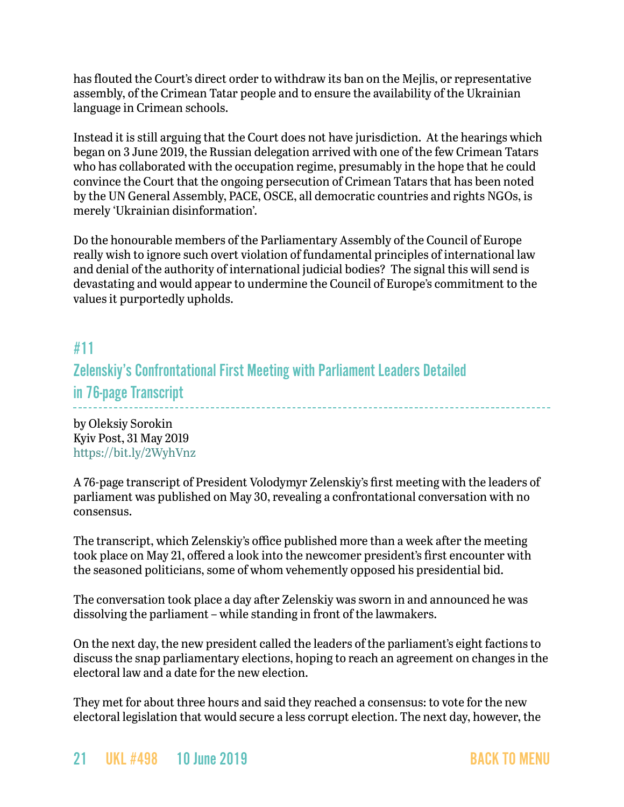has flouted the Court's direct order to withdraw its ban on the Mejlis, or representative assembly, of the Crimean Tatar people and to ensure the availability of the Ukrainian language in Crimean schools.

Instead it is still arguing that the Court does not have jurisdiction. At the hearings which began on 3 June 2019, the Russian delegation arrived with one of the few Crimean Tatars who has collaborated with the occupation regime, presumably in the hope that he could convince the Court that the ongoing persecution of Crimean Tatars that has been noted by the UN General Assembly, PACE, OSCE, all democratic countries and rights NGOs, is merely 'Ukrainian disinformation'.

Do the honourable members of the Parliamentary Assembly of the Council of Europe really wish to ignore such overt violation of fundamental principles of international law and denial of the authority of international judicial bodies? The signal this will send is devastating and would appear to undermine the Council of Europe's commitment to the values it purportedly upholds.

### #11

### Zelenskiy's Confrontational First Meeting with Parliament Leaders Detailed

in 76-page Transcript

by Oleksiy Sorokin Kyiv Post, 31 May 2019 <https://bit.ly/2WyhVnz>

A 76-page transcript of President Volodymyr Zelenskiy's first meeting with the leaders of parliament was published on May 30, revealing a confrontational conversation with no consensus.

The transcript, which Zelenskiy's office published more than a week after the meeting took place on May 21, offered a look into the newcomer president's first encounter with the seasoned politicians, some of whom vehemently opposed his presidential bid.

The conversation took place a day after Zelenskiy was sworn in and announced he was dissolving the parliament – while standing in front of the lawmakers.

On the next day, the new president called the leaders of the parliament's eight factions to discuss the snap parliamentary elections, hoping to reach an agreement on changes in the electoral law and a date for the new election.

They met for about three hours and said they reached a consensus: to vote for the new electoral legislation that would secure a less corrupt election. The next day, however, the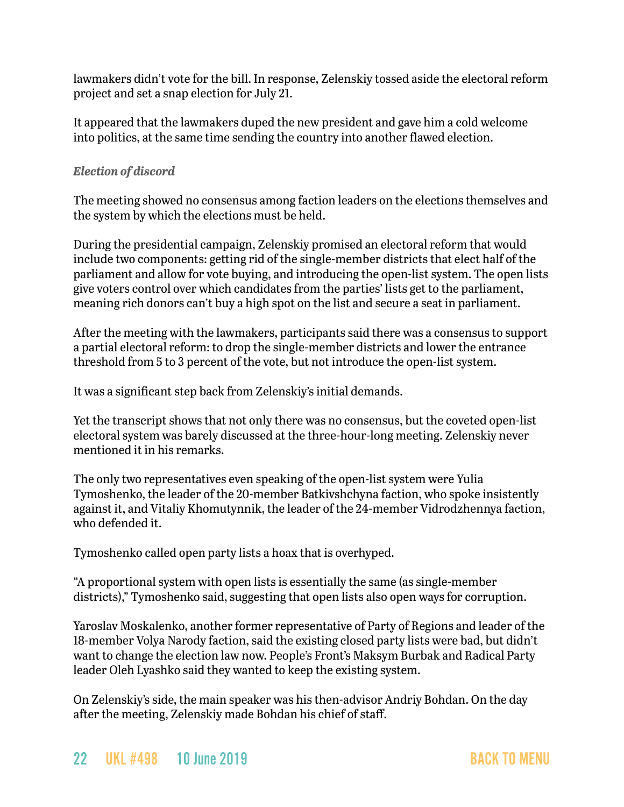lawmakers didn't vote for the bill. In response, Zelenskiy tossed aside the electoral reform project and set a snap election for July 21.

It appeared that the lawmakers duped the new president and gave him a cold welcome into politics, at the same time sending the country into another flawed election.

#### *Election of discord*

The meeting showed no consensus among faction leaders on the elections themselves and the system by which the elections must be held.

During the presidential campaign, Zelenskiy promised an electoral reform that would include two components: getting rid of the single-member districts that elect half of the parliament and allow for vote buying, and introducing the open-list system. The open lists give voters control over which candidates from the parties' lists get to the parliament, meaning rich donors can't buy a high spot on the list and secure a seat in parliament.

After the meeting with the lawmakers, participants said there was a consensus to support a partial electoral reform: to drop the single-member districts and lower the entrance threshold from 5 to 3 percent of the vote, but not introduce the open-list system.

It was a significant step back from Zelenskiy's initial demands.

Yet the transcript shows that not only there was no consensus, but the coveted open-list electoral system was barely discussed at the three-hour-long meeting. Zelenskiy never mentioned it in his remarks.

The only two representatives even speaking of the open-list system were Yulia Tymoshenko, the leader of the 20-member Batkivshchyna faction, who spoke insistently against it, and Vitaliy Khomutynnik, the leader of the 24-member Vidrodzhennya faction, who defended it.

Tymoshenko called open party lists a hoax that is overhyped.

"A proportional system with open lists is essentially the same (as single-member districts)," Tymoshenko said, suggesting that open lists also open ways for corruption.

Yaroslav Moskalenko, another former representative of Party of Regions and leader of the 18-member Volya Narody faction, said the existing closed party lists were bad, but didn't want to change the election law now. People's Front's Maksym Burbak and Radical Party leader Oleh Lyashko said they wanted to keep the existing system.

On Zelenskiy's side, the main speaker was his then-advisor Andriy Bohdan. On the day after the meeting, Zelenskiy made Bohdan his chief of staff.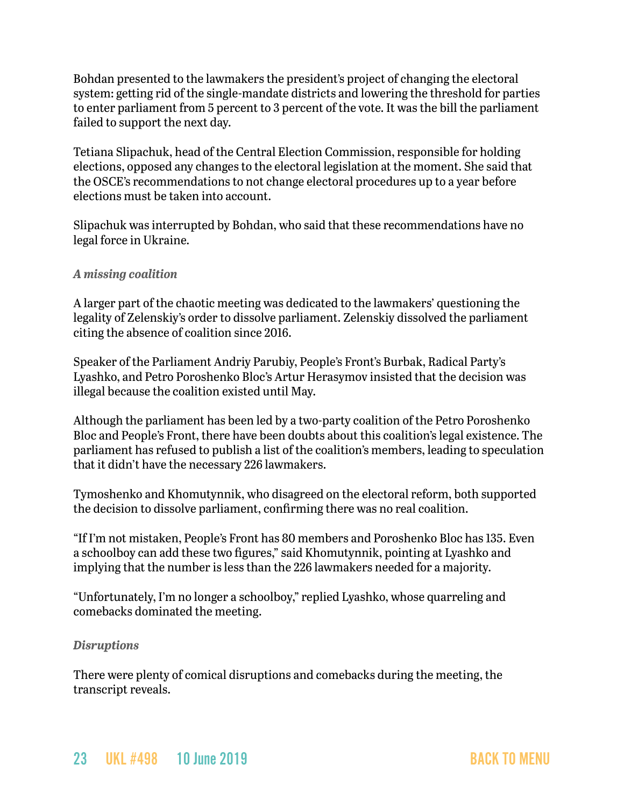Bohdan presented to the lawmakers the president's project of changing the electoral system: getting rid of the single-mandate districts and lowering the threshold for parties to enter parliament from 5 percent to 3 percent of the vote. It was the bill the parliament failed to support the next day.

Tetiana Slipachuk, head of the Central Election Commission, responsible for holding elections, opposed any changes to the electoral legislation at the moment. She said that the OSCE's recommendations to not change electoral procedures up to a year before elections must be taken into account.

Slipachuk was interrupted by Bohdan, who said that these recommendations have no legal force in Ukraine.

#### *A missing coalition*

A larger part of the chaotic meeting was dedicated to the lawmakers' questioning the legality of Zelenskiy's order to dissolve parliament. Zelenskiy dissolved the parliament citing the absence of coalition since 2016.

Speaker of the Parliament Andriy Parubiy, People's Front's Burbak, Radical Party's Lyashko, and Petro Poroshenko Bloc's Artur Herasymov insisted that the decision was illegal because the coalition existed until May.

Although the parliament has been led by a two-party coalition of the Petro Poroshenko Bloc and People's Front, there have been doubts about this coalition's legal existence. The parliament has refused to publish a list of the coalition's members, leading to speculation that it didn't have the necessary 226 lawmakers.

Tymoshenko and Khomutynnik, who disagreed on the electoral reform, both supported the decision to dissolve parliament, confirming there was no real coalition.

"If I'm not mistaken, People's Front has 80 members and Poroshenko Bloc has 135. Even a schoolboy can add these two figures," said Khomutynnik, pointing at Lyashko and implying that the number is less than the 226 lawmakers needed for a majority.

"Unfortunately, I'm no longer a schoolboy," replied Lyashko, whose quarreling and comebacks dominated the meeting.

#### *Disruptions*

There were plenty of comical disruptions and comebacks during the meeting, the transcript reveals.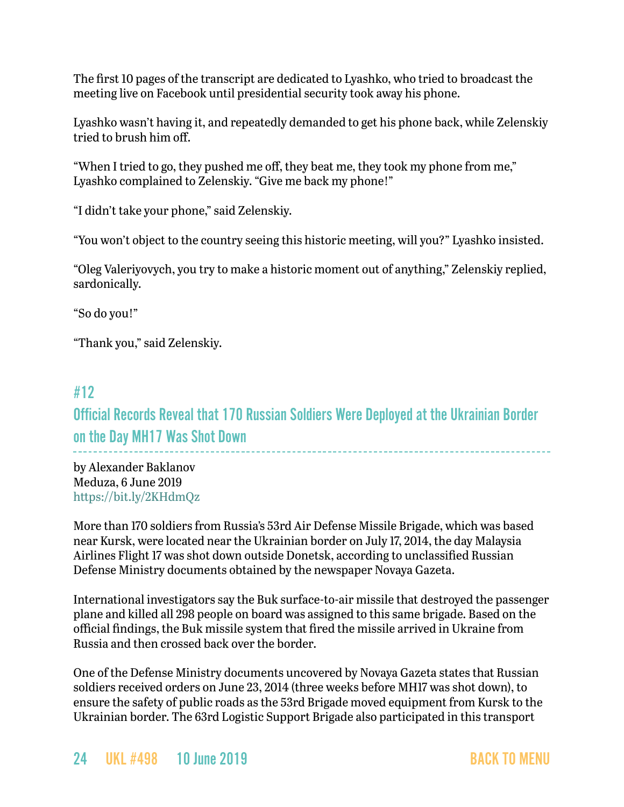The first 10 pages of the transcript are dedicated to Lyashko, who tried to broadcast the meeting live on Facebook until presidential security took away his phone.

Lyashko wasn't having it, and repeatedly demanded to get his phone back, while Zelenskiy tried to brush him off.

"When I tried to go, they pushed me off, they beat me, they took my phone from me," Lyashko complained to Zelenskiy. "Give me back my phone!"

"I didn't take your phone," said Zelenskiy.

"You won't object to the country seeing this historic meeting, will you?" Lyashko insisted.

"Oleg Valeriyovych, you try to make a historic moment out of anything," Zelenskiy replied, sardonically.

"So do you!"

"Thank you," said Zelenskiy.

### <span id="page-23-0"></span>#12

Official Records Reveal that 170 Russian Soldiers Were Deployed at the Ukrainian Border on the Day MH17 Was Shot Down \_\_\_\_\_\_\_\_\_\_\_\_\_\_\_\_\_\_\_\_\_\_\_\_\_\_\_\_\_\_\_\_\_\_\_

by Alexander Baklanov Meduza, 6 June 2019 <https://bit.ly/2KHdmQz>

More than 170 soldiers from Russia's 53rd Air Defense Missile Brigade, which was based near Kursk, were located near the Ukrainian border on July 17, 2014, the day Malaysia Airlines Flight 17 was shot down outside Donetsk, according to unclassified Russian Defense Ministry documents obtained by the newspaper Novaya Gazeta.

International investigators say the Buk surface-to-air missile that destroyed the passenger plane and killed all 298 people on board was assigned to this same brigade. Based on the official findings, the Buk missile system that fired the missile arrived in Ukraine from Russia and then crossed back over the border.

One of the Defense Ministry documents uncovered by Novaya Gazeta states that Russian soldiers received orders on June 23, 2014 (three weeks before MH17 was shot down), to ensure the safety of public roads as the 53rd Brigade moved equipment from Kursk to the Ukrainian border. The 63rd Logistic Support Brigade also participated in this transport

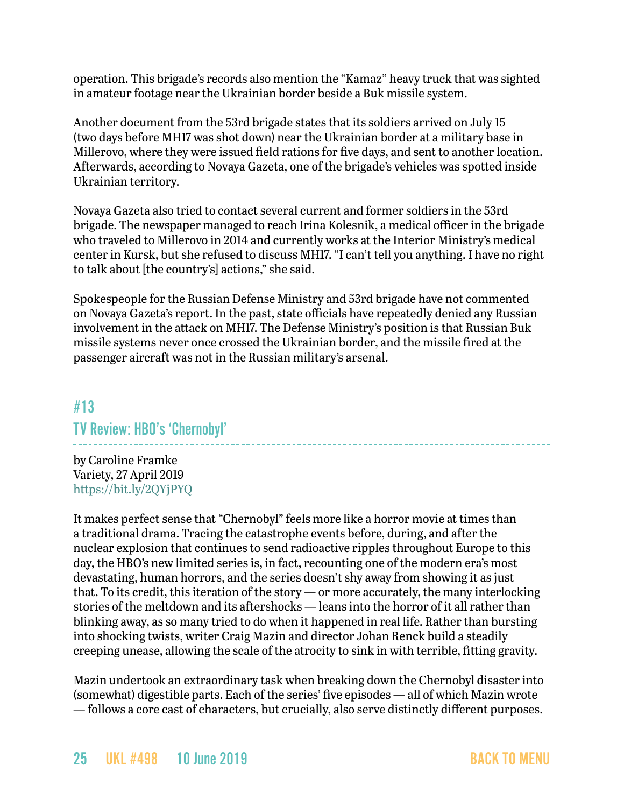operation. This brigade's records also mention the "Kamaz" heavy truck that was sighted in amateur footage near the Ukrainian border beside a Buk missile system.

Another document from the 53rd brigade states that its soldiers arrived on July 15 (two days before MH17 was shot down) near the Ukrainian border at a military base in Millerovo, where they were issued field rations for five days, and sent to another location. Afterwards, according to Novaya Gazeta, one of the brigade's vehicles was spotted inside Ukrainian territory.

Novaya Gazeta also tried to contact several current and former soldiers in the 53rd brigade. The newspaper managed to reach Irina Kolesnik, a medical officer in the brigade who traveled to Millerovo in 2014 and currently works at the Interior Ministry's medical center in Kursk, but she refused to discuss MH17. "I can't tell you anything. I have no right to talk about [the country's] actions," she said.

Spokespeople for the Russian Defense Ministry and 53rd brigade have not commented on Novaya Gazeta's report. In the past, state officials have repeatedly denied any Russian involvement in the attack on MH17. The Defense Ministry's position is that Russian Buk missile systems never once crossed the Ukrainian border, and the missile fired at the passenger aircraft was not in the Russian military's arsenal.

### #13

### TV Review: HBO's 'Chernobyl'

by Caroline Framke Variety, 27 April 2019 <https://bit.ly/2QYjPYQ>

It makes perfect sense that "Chernobyl" feels more like a horror movie at times than a traditional drama. Tracing the catastrophe events before, during, and after the nuclear explosion that continues to send radioactive ripples throughout Europe to this day, the HBO's new limited series is, in fact, recounting one of the modern era's most devastating, human horrors, and the series doesn't shy away from showing it as just that. To its credit, this iteration of the story — or more accurately, the many interlocking stories of the meltdown and its aftershocks — leans into the horror of it all rather than blinking away, as so many tried to do when it happened in real life. Rather than bursting into shocking twists, writer Craig Mazin and director Johan Renck build a steadily creeping unease, allowing the scale of the atrocity to sink in with terrible, fitting gravity.

Mazin undertook an extraordinary task when breaking down the Chernobyl disaster into (somewhat) digestible parts. Each of the series' five episodes — all of which Mazin wrote — follows a core cast of characters, but crucially, also serve distinctly different purposes.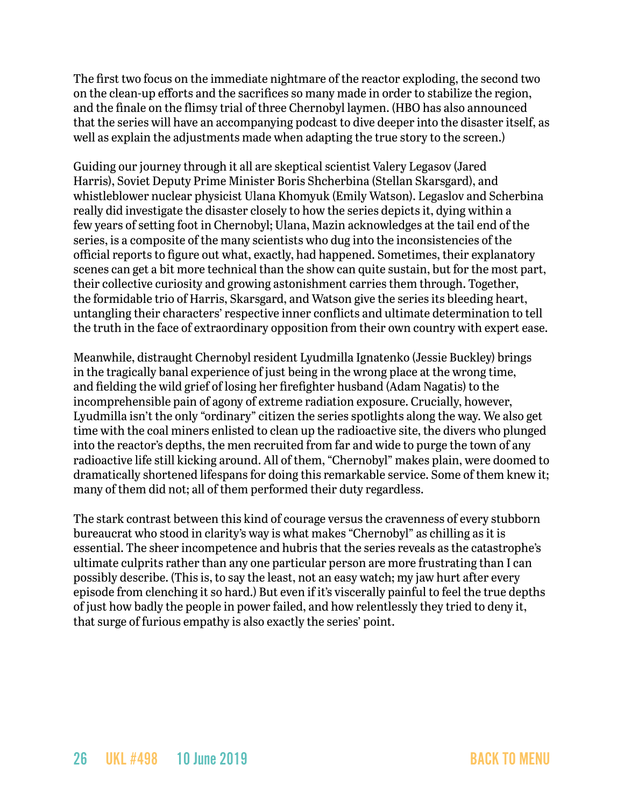The first two focus on the immediate nightmare of the reactor exploding, the second two on the clean-up efforts and the sacrifices so many made in order to stabilize the region, and the finale on the flimsy trial of three Chernobyl laymen. (HBO has also announced that the series will have an accompanying podcast to dive deeper into the disaster itself, as well as explain the adjustments made when adapting the true story to the screen.)

Guiding our journey through it all are skeptical scientist Valery Legasov (Jared Harris), Soviet Deputy Prime Minister Boris Shcherbina (Stellan Skarsgard), and whistleblower nuclear physicist Ulana Khomyuk (Emily Watson). Legaslov and Scherbina really did investigate the disaster closely to how the series depicts it, dying within a few years of setting foot in Chernobyl; Ulana, Mazin acknowledges at the tail end of the series, is a composite of the many scientists who dug into the inconsistencies of the official reports to figure out what, exactly, had happened. Sometimes, their explanatory scenes can get a bit more technical than the show can quite sustain, but for the most part, their collective curiosity and growing astonishment carries them through. Together, the formidable trio of Harris, Skarsgard, and Watson give the series its bleeding heart, untangling their characters' respective inner conflicts and ultimate determination to tell the truth in the face of extraordinary opposition from their own country with expert ease.

Meanwhile, distraught Chernobyl resident Lyudmilla Ignatenko (Jessie Buckley) brings in the tragically banal experience of just being in the wrong place at the wrong time, and fielding the wild grief of losing her firefighter husband (Adam Nagatis) to the incomprehensible pain of agony of extreme radiation exposure. Crucially, however, Lyudmilla isn't the only "ordinary" citizen the series spotlights along the way. We also get time with the coal miners enlisted to clean up the radioactive site, the divers who plunged into the reactor's depths, the men recruited from far and wide to purge the town of any radioactive life still kicking around. All of them, "Chernobyl" makes plain, were doomed to dramatically shortened lifespans for doing this remarkable service. Some of them knew it; many of them did not; all of them performed their duty regardless.

The stark contrast between this kind of courage versus the cravenness of every stubborn bureaucrat who stood in clarity's way is what makes "Chernobyl" as chilling as it is essential. The sheer incompetence and hubris that the series reveals as the catastrophe's ultimate culprits rather than any one particular person are more frustrating than I can possibly describe. (This is, to say the least, not an easy watch; my jaw hurt after every episode from clenching it so hard.) But even if it's viscerally painful to feel the true depths of just how badly the people in power failed, and how relentlessly they tried to deny it, that surge of furious empathy is also exactly the series' point.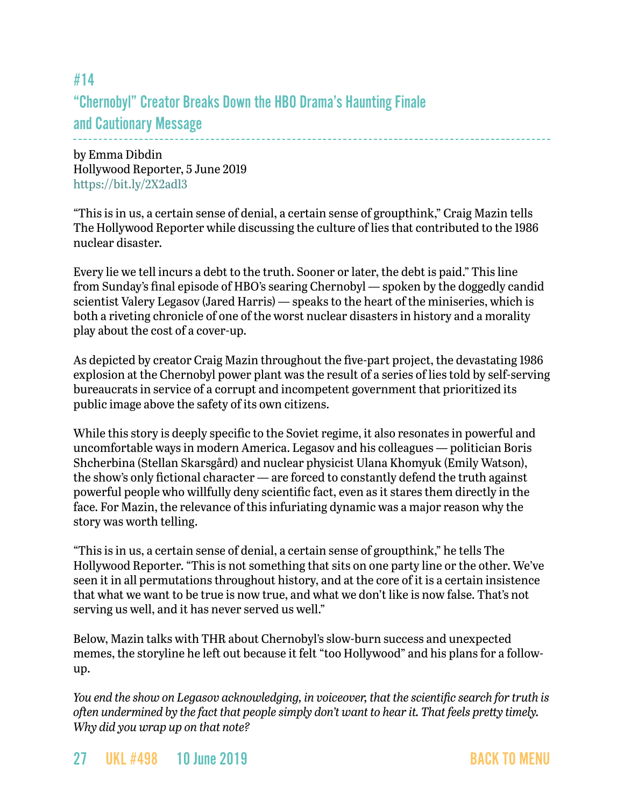## #14 "Chernobyl" Creator Breaks Down the HBO Drama's Haunting Finale and Cautionary Message

by Emma Dibdin Hollywood Reporter, 5 June 2019 <https://bit.ly/2X2adl3>

"This is in us, a certain sense of denial, a certain sense of groupthink," Craig Mazin tells The Hollywood Reporter while discussing the culture of lies that contributed to the 1986 nuclear disaster.

Every lie we tell incurs a debt to the truth. Sooner or later, the debt is paid." This line from Sunday's final episode of HBO's searing Chernobyl — spoken by the doggedly candid scientist Valery Legasov (Jared Harris) — speaks to the heart of the miniseries, which is both a riveting chronicle of one of the worst nuclear disasters in history and a morality play about the cost of a cover-up.

As depicted by creator Craig Mazin throughout the five-part project, the devastating 1986 explosion at the Chernobyl power plant was the result of a series of lies told by self-serving bureaucrats in service of a corrupt and incompetent government that prioritized its public image above the safety of its own citizens.

While this story is deeply specific to the Soviet regime, it also resonates in powerful and uncomfortable ways in modern America. Legasov and his colleagues — politician Boris Shcherbina (Stellan Skarsgård) and nuclear physicist Ulana Khomyuk (Emily Watson), the show's only fictional character — are forced to constantly defend the truth against powerful people who willfully deny scientific fact, even as it stares them directly in the face. For Mazin, the relevance of this infuriating dynamic was a major reason why the story was worth telling.

"This is in us, a certain sense of denial, a certain sense of groupthink," he tells The Hollywood Reporter. "This is not something that sits on one party line or the other. We've seen it in all permutations throughout history, and at the core of it is a certain insistence that what we want to be true is now true, and what we don't like is now false. That's not serving us well, and it has never served us well."

Below, Mazin talks with THR about Chernobyl's slow-burn success and unexpected memes, the storyline he left out because it felt "too Hollywood" and his plans for a followup.

*You end the show on Legasov acknowledging, in voiceover, that the scientific search for truth is often undermined by the fact that people simply don't want to hear it. That feels pretty timely. Why did you wrap up on that note?*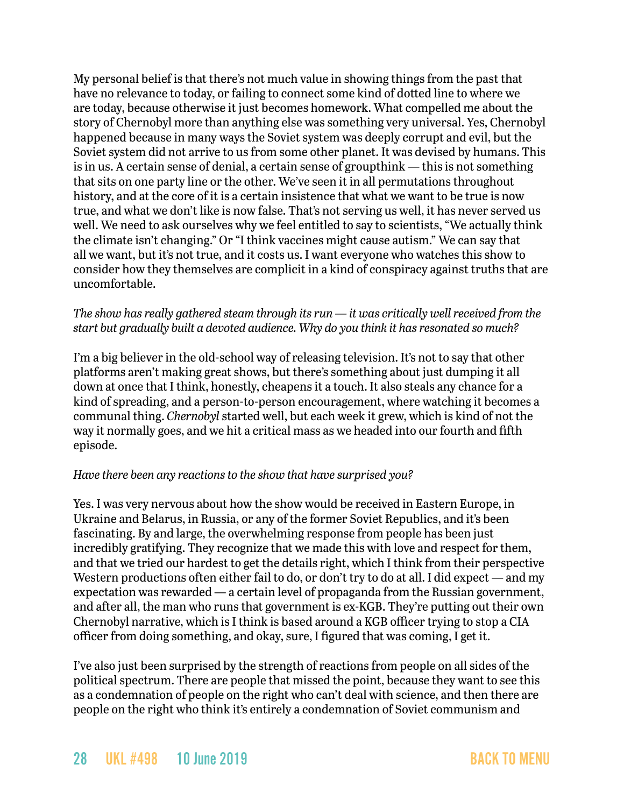My personal belief is that there's not much value in showing things from the past that have no relevance to today, or failing to connect some kind of dotted line to where we are today, because otherwise it just becomes homework. What compelled me about the story of Chernobyl more than anything else was something very universal. Yes, Chernobyl happened because in many ways the Soviet system was deeply corrupt and evil, but the Soviet system did not arrive to us from some other planet. It was devised by humans. This is in us. A certain sense of denial, a certain sense of groupthink — this is not something that sits on one party line or the other. We've seen it in all permutations throughout history, and at the core of it is a certain insistence that what we want to be true is now true, and what we don't like is now false. That's not serving us well, it has never served us well. We need to ask ourselves why we feel entitled to say to scientists, "We actually think the climate isn't changing." Or "I think vaccines might cause autism." We can say that all we want, but it's not true, and it costs us. I want everyone who watches this show to consider how they themselves are complicit in a kind of conspiracy against truths that are uncomfortable.

#### *The show has really gathered steam through its run — it was critically well received from the start but gradually built a devoted audience. Why do you think it has resonated so much?*

I'm a big believer in the old-school way of releasing television. It's not to say that other platforms aren't making great shows, but there's something about just dumping it all down at once that I think, honestly, cheapens it a touch. It also steals any chance for a kind of spreading, and a person-to-person encouragement, where watching it becomes a communal thing. *Chernobyl* started well, but each week it grew, which is kind of not the way it normally goes, and we hit a critical mass as we headed into our fourth and fifth episode.

#### *Have there been any reactions to the show that have surprised you?*

Yes. I was very nervous about how the show would be received in Eastern Europe, in Ukraine and Belarus, in Russia, or any of the former Soviet Republics, and it's been fascinating. By and large, the overwhelming response from people has been just incredibly gratifying. They recognize that we made this with love and respect for them, and that we tried our hardest to get the details right, which I think from their perspective Western productions often either fail to do, or don't try to do at all. I did expect — and my expectation was rewarded — a certain level of propaganda from the Russian government, and after all, the man who runs that government is ex-KGB. They're putting out their own Chernobyl narrative, which is I think is based around a KGB officer trying to stop a CIA officer from doing something, and okay, sure, I figured that was coming, I get it.

I've also just been surprised by the strength of reactions from people on all sides of the political spectrum. There are people that missed the point, because they want to see this as a condemnation of people on the right who can't deal with science, and then there are people on the right who think it's entirely a condemnation of Soviet communism and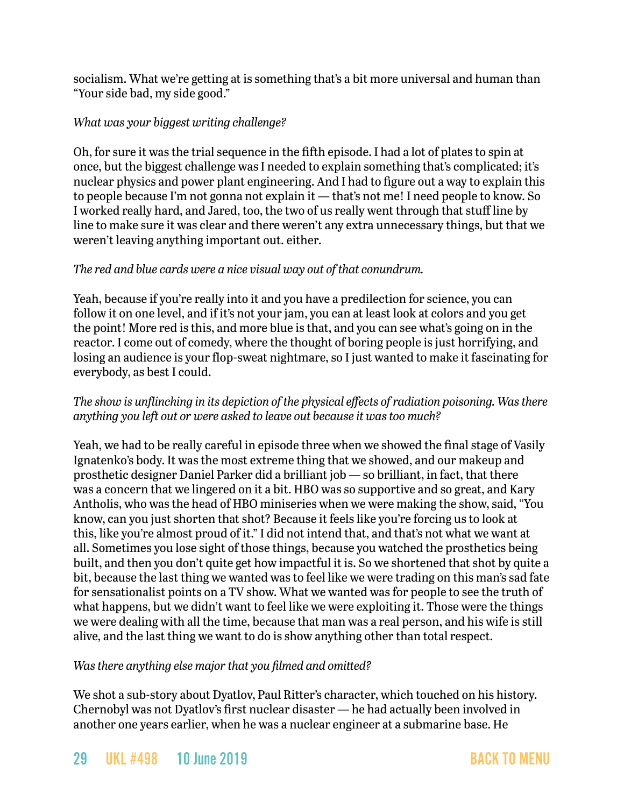socialism. What we're getting at is something that's a bit more universal and human than "Your side bad, my side good."

#### *What was your biggest writing challenge?*

Oh, for sure it was the trial sequence in the fifth episode. I had a lot of plates to spin at once, but the biggest challenge was I needed to explain something that's complicated; it's nuclear physics and power plant engineering. And I had to figure out a way to explain this to people because I'm not gonna not explain it — that's not me! I need people to know. So I worked really hard, and Jared, too, the two of us really went through that stuff line by line to make sure it was clear and there weren't any extra unnecessary things, but that we weren't leaving anything important out. either.

#### *The red and blue cards were a nice visual way out of that conundrum.*

Yeah, because if you're really into it and you have a predilection for science, you can follow it on one level, and if it's not your jam, you can at least look at colors and you get the point! More red is this, and more blue is that, and you can see what's going on in the reactor. I come out of comedy, where the thought of boring people is just horrifying, and losing an audience is your flop-sweat nightmare, so I just wanted to make it fascinating for everybody, as best I could.

#### *The show is unflinching in its depiction of the physical effects of radiation poisoning. Was there anything you left out or were asked to leave out because it was too much?*

Yeah, we had to be really careful in episode three when we showed the final stage of Vasily Ignatenko's body. It was the most extreme thing that we showed, and our makeup and prosthetic designer Daniel Parker did a brilliant job — so brilliant, in fact, that there was a concern that we lingered on it a bit. HBO was so supportive and so great, and Kary Antholis, who was the head of HBO miniseries when we were making the show, said, "You know, can you just shorten that shot? Because it feels like you're forcing us to look at this, like you're almost proud of it." I did not intend that, and that's not what we want at all. Sometimes you lose sight of those things, because you watched the prosthetics being built, and then you don't quite get how impactful it is. So we shortened that shot by quite a bit, because the last thing we wanted was to feel like we were trading on this man's sad fate for sensationalist points on a TV show. What we wanted was for people to see the truth of what happens, but we didn't want to feel like we were exploiting it. Those were the things we were dealing with all the time, because that man was a real person, and his wife is still alive, and the last thing we want to do is show anything other than total respect.

#### *Was there anything else major that you filmed and omitted?*

We shot a sub-story about Dyatlov, Paul Ritter's character, which touched on his history. Chernobyl was not Dyatlov's first nuclear disaster — he had actually been involved in another one years earlier, when he was a nuclear engineer at a submarine base. He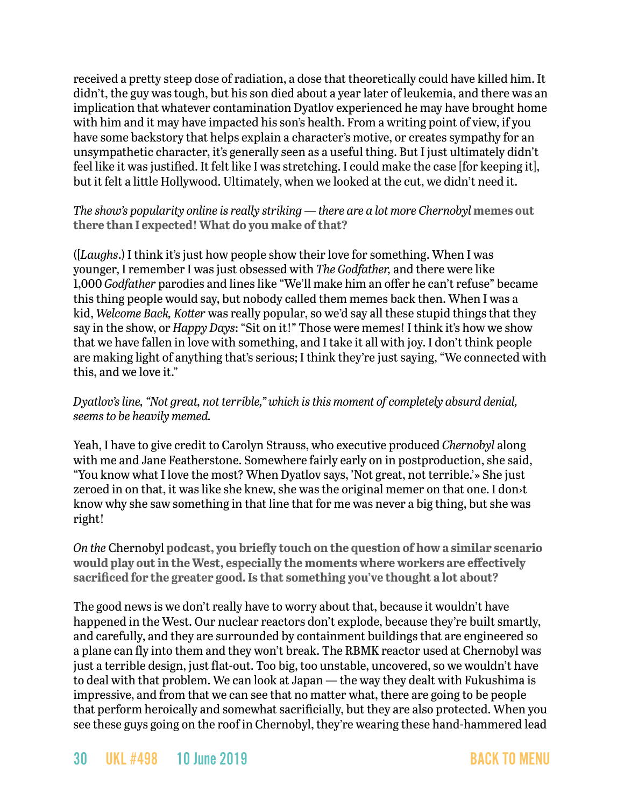received a pretty steep dose of radiation, a dose that theoretically could have killed him. It didn't, the guy was tough, but his son died about a year later of leukemia, and there was an implication that whatever contamination Dyatlov experienced he may have brought home with him and it may have impacted his son's health. From a writing point of view, if you have some backstory that helps explain a character's motive, or creates sympathy for an unsympathetic character, it's generally seen as a useful thing. But I just ultimately didn't feel like it was justified. It felt like I was stretching. I could make the case [for keeping it], but it felt a little Hollywood. Ultimately, when we looked at the cut, we didn't need it.

#### *The show's popularity online is really striking — there are a lot more Chernobyl* **memes out there than I expected! What do you make of that?**

([*Laughs*.) I think it's just how people show their love for something. When I was younger, I remember I was just obsessed with *The Godfather,* and there were like 1,000 *Godfather* parodies and lines like "We'll make him an offer he can't refuse" became this thing people would say, but nobody called them memes back then. When I was a kid, *Welcome Back, Kotter* was really popular, so we'd say all these stupid things that they say in the show, or *Happy Days*: "Sit on it!" Those were memes! I think it's how we show that we have fallen in love with something, and I take it all with joy. I don't think people are making light of anything that's serious; I think they're just saying, "We connected with this, and we love it."

#### *Dyatlov's line, "Not great, not terrible," which is this moment of completely absurd denial, seems to be heavily memed.*

Yeah, I have to give credit to Carolyn Strauss, who executive produced *Chernobyl* along with me and Jane Featherstone. Somewhere fairly early on in postproduction, she said, "You know what I love the most? When Dyatlov says, 'Not great, not terrible.'» She just zeroed in on that, it was like she knew, she was the original memer on that one. I don›t know why she saw something in that line that for me was never a big thing, but she was right!

*On the* Chernobyl **podcast, you briefly touch on the question of how a similar scenario would play out in the West, especially the moments where workers are effectively sacrificed for the greater good. Is that something you've thought a lot about?**

The good news is we don't really have to worry about that, because it wouldn't have happened in the West. Our nuclear reactors don't explode, because they're built smartly, and carefully, and they are surrounded by containment buildings that are engineered so a plane can fly into them and they won't break. The RBMK reactor used at Chernobyl was just a terrible design, just flat-out. Too big, too unstable, uncovered, so we wouldn't have to deal with that problem. We can look at Japan — the way they dealt with Fukushima is impressive, and from that we can see that no matter what, there are going to be people that perform heroically and somewhat sacrificially, but they are also protected. When you see these guys going on the roof in Chernobyl, they're wearing these hand-hammered lead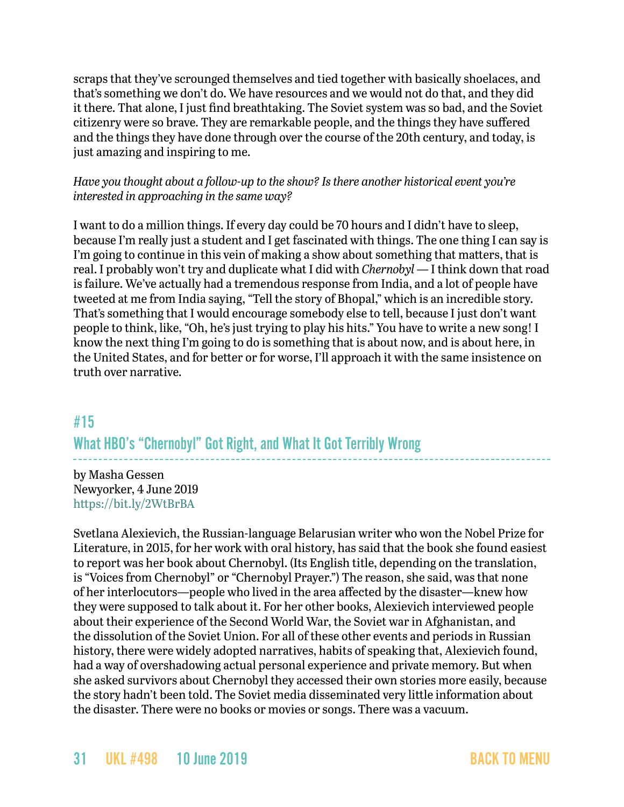scraps that they've scrounged themselves and tied together with basically shoelaces, and that's something we don't do. We have resources and we would not do that, and they did it there. That alone, I just find breathtaking. The Soviet system was so bad, and the Soviet citizenry were so brave. They are remarkable people, and the things they have suffered and the things they have done through over the course of the 20th century, and today, is just amazing and inspiring to me.

#### *Have you thought about a follow-up to the show? Is there another historical event you're interested in approaching in the same way?*

I want to do a million things. If every day could be 70 hours and I didn't have to sleep, because I'm really just a student and I get fascinated with things. The one thing I can say is I'm going to continue in this vein of making a show about something that matters, that is real. I probably won't try and duplicate what I did with *Chernobyl* — I think down that road is failure. We've actually had a tremendous response from India, and a lot of people have tweeted at me from India saying, "Tell the story of Bhopal," which is an incredible story. That's something that I would encourage somebody else to tell, because I just don't want people to think, like, "Oh, he's just trying to play his hits." You have to write a new song! I know the next thing I'm going to do is something that is about now, and is about here, in the United States, and for better or for worse, I'll approach it with the same insistence on truth over narrative.

### #15

What HBO's "Chernobyl" Got Right, and What It Got Terribly Wrong

by Masha Gessen Newyorker, 4 June 2019 <https://bit.ly/2WtBrBA>

Svetlana Alexievich, the Russian-language Belarusian writer who won the Nobel Prize for Literature, in 2015, for her work with oral history, has said that the book she found easiest to report was her book about Chernobyl. (Its English title, depending on the translation, is "Voices from Chernobyl" or "Chernobyl Prayer.") The reason, she said, was that none of her interlocutors—people who lived in the area affected by the disaster—knew how they were supposed to talk about it. For her other books, Alexievich interviewed people about their experience of the Second World War, the Soviet war in Afghanistan, and the dissolution of the Soviet Union. For all of these other events and periods in Russian history, there were widely adopted narratives, habits of speaking that, Alexievich found, had a way of overshadowing actual personal experience and private memory. But when she asked survivors about Chernobyl they accessed their own stories more easily, because the story hadn't been told. The Soviet media disseminated very little information about the disaster. There were no books or movies or songs. There was a vacuum.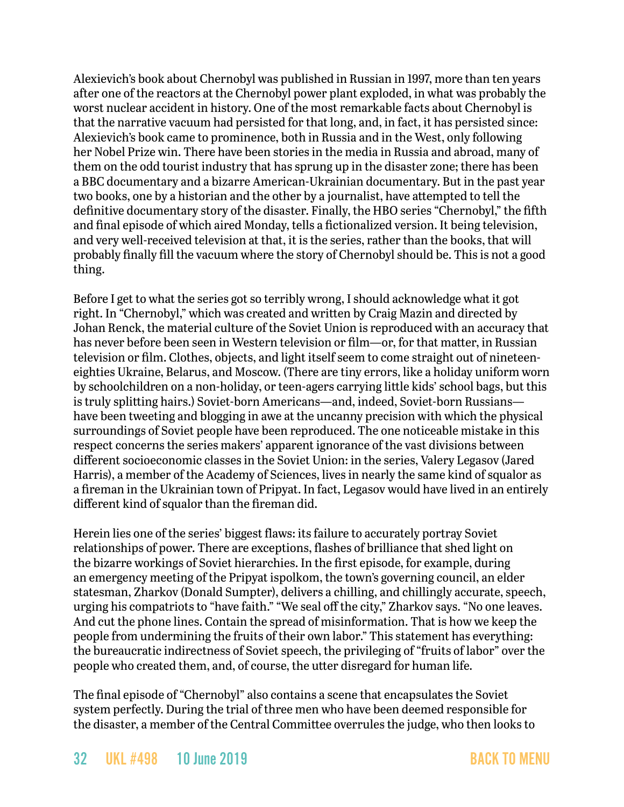Alexievich's book about Chernobyl was published in Russian in 1997, more than ten years after one of the reactors at the Chernobyl power plant exploded, in what was probably the worst nuclear accident in history. One of the most remarkable facts about Chernobyl is that the narrative vacuum had persisted for that long, and, in fact, it has persisted since: Alexievich's book came to prominence, both in Russia and in the West, only following her Nobel Prize win. There have been stories in the media in Russia and abroad, many of them on the odd tourist industry that has sprung up in the disaster zone; there has been a BBC documentary and a bizarre American-Ukrainian documentary. But in the past year two books, one by a historian and the other by a journalist, have attempted to tell the definitive documentary story of the disaster. Finally, the HBO series "Chernobyl," the fifth and final episode of which aired Monday, tells a fictionalized version. It being television, and very well-received television at that, it is the series, rather than the books, that will probably finally fill the vacuum where the story of Chernobyl should be. This is not a good thing.

Before I get to what the series got so terribly wrong, I should acknowledge what it got right. In "Chernobyl," which was created and written by Craig Mazin and directed by Johan Renck, the material culture of the Soviet Union is reproduced with an accuracy that has never before been seen in Western television or film—or, for that matter, in Russian television or film. Clothes, objects, and light itself seem to come straight out of nineteeneighties Ukraine, Belarus, and Moscow. (There are tiny errors, like a holiday uniform worn by schoolchildren on a non-holiday, or teen-agers carrying little kids' school bags, but this is truly splitting hairs.) Soviet-born Americans—and, indeed, Soviet-born Russians have been tweeting and blogging in awe at the uncanny precision with which the physical surroundings of Soviet people have been reproduced. The one noticeable mistake in this respect concerns the series makers' apparent ignorance of the vast divisions between different socioeconomic classes in the Soviet Union: in the series, Valery Legasov (Jared Harris), a member of the Academy of Sciences, lives in nearly the same kind of squalor as a fireman in the Ukrainian town of Pripyat. In fact, Legasov would have lived in an entirely different kind of squalor than the fireman did.

Herein lies one of the series' biggest flaws: its failure to accurately portray Soviet relationships of power. There are exceptions, flashes of brilliance that shed light on the bizarre workings of Soviet hierarchies. In the first episode, for example, during an emergency meeting of the Pripyat ispolkom, the town's governing council, an elder statesman, Zharkov (Donald Sumpter), delivers a chilling, and chillingly accurate, speech, urging his compatriots to "have faith." "We seal off the city," Zharkov says. "No one leaves. And cut the phone lines. Contain the spread of misinformation. That is how we keep the people from undermining the fruits of their own labor." This statement has everything: the bureaucratic indirectness of Soviet speech, the privileging of "fruits of labor" over the people who created them, and, of course, the utter disregard for human life.

The final episode of "Chernobyl" also contains a scene that encapsulates the Soviet system perfectly. During the trial of three men who have been deemed responsible for the disaster, a member of the Central Committee overrules the judge, who then looks to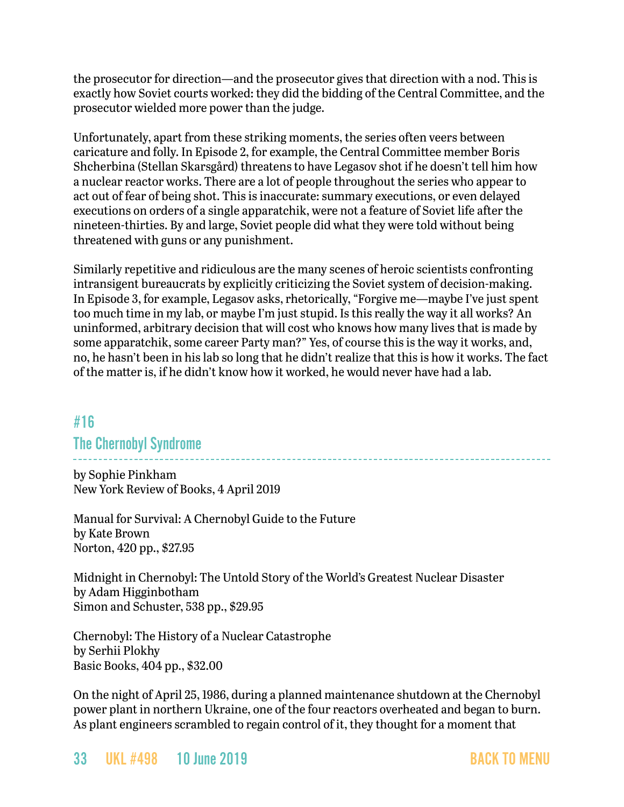the prosecutor for direction—and the prosecutor gives that direction with a nod. This is exactly how Soviet courts worked: they did the bidding of the Central Committee, and the prosecutor wielded more power than the judge.

Unfortunately, apart from these striking moments, the series often veers between caricature and folly. In Episode 2, for example, the Central Committee member Boris Shcherbina (Stellan Skarsgård) threatens to have Legasov shot if he doesn't tell him how a nuclear reactor works. There are a lot of people throughout the series who appear to act out of fear of being shot. This is inaccurate: summary executions, or even delayed executions on orders of a single apparatchik, were not a feature of Soviet life after the nineteen-thirties. By and large, Soviet people did what they were told without being threatened with guns or any punishment.

Similarly repetitive and ridiculous are the many scenes of heroic scientists confronting intransigent bureaucrats by explicitly criticizing the Soviet system of decision-making. In Episode 3, for example, Legasov asks, rhetorically, "Forgive me—maybe I've just spent too much time in my lab, or maybe I'm just stupid. Is this really the way it all works? An uninformed, arbitrary decision that will cost who knows how many lives that is made by some apparatchik, some career Party man?" Yes, of course this is the way it works, and, no, he hasn't been in his lab so long that he didn't realize that this is how it works. The fact of the matter is, if he didn't know how it worked, he would never have had a lab.

### <span id="page-32-0"></span>#16

### The Chernobyl Syndrome

by Sophie Pinkham New York Review of Books, 4 April 2019

Manual for Survival: A Chernobyl Guide to the Future by Kate Brown Norton, 420 pp., \$27.95

Midnight in Chernobyl: The Untold Story of the World's Greatest Nuclear Disaster by Adam Higginbotham Simon and Schuster, 538 pp., \$29.95

Chernobyl: The History of a Nuclear Catastrophe by Serhii Plokhy Basic Books, 404 pp., \$32.00

On the night of April 25, 1986, during a planned maintenance shutdown at the Chernobyl power plant in northern Ukraine, one of the four reactors overheated and began to burn. As plant engineers scrambled to regain control of it, they thought for a moment that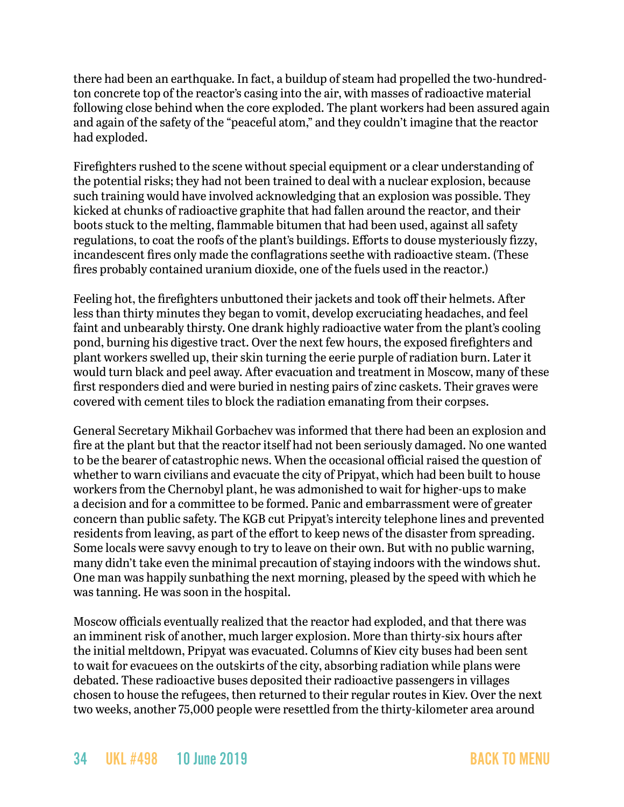there had been an earthquake. In fact, a buildup of steam had propelled the two-hundredton concrete top of the reactor's casing into the air, with masses of radioactive material following close behind when the core exploded. The plant workers had been assured again and again of the safety of the "peaceful atom," and they couldn't imagine that the reactor had exploded.

Firefighters rushed to the scene without special equipment or a clear understanding of the potential risks; they had not been trained to deal with a nuclear explosion, because such training would have involved acknowledging that an explosion was possible. They kicked at chunks of radioactive graphite that had fallen around the reactor, and their boots stuck to the melting, flammable bitumen that had been used, against all safety regulations, to coat the roofs of the plant's buildings. Efforts to douse mysteriously fizzy, incandescent fires only made the conflagrations seethe with radioactive steam. (These fires probably contained uranium dioxide, one of the fuels used in the reactor.)

Feeling hot, the firefighters unbuttoned their jackets and took off their helmets. After less than thirty minutes they began to vomit, develop excruciating headaches, and feel faint and unbearably thirsty. One drank highly radioactive water from the plant's cooling pond, burning his digestive tract. Over the next few hours, the exposed firefighters and plant workers swelled up, their skin turning the eerie purple of radiation burn. Later it would turn black and peel away. After evacuation and treatment in Moscow, many of these first responders died and were buried in nesting pairs of zinc caskets. Their graves were covered with cement tiles to block the radiation emanating from their corpses.

General Secretary Mikhail Gorbachev was informed that there had been an explosion and fire at the plant but that the reactor itself had not been seriously damaged. No one wanted to be the bearer of catastrophic news. When the occasional official raised the question of whether to warn civilians and evacuate the city of Pripyat, which had been built to house workers from the Chernobyl plant, he was admonished to wait for higher-ups to make a decision and for a committee to be formed. Panic and embarrassment were of greater concern than public safety. The KGB cut Pripyat's intercity telephone lines and prevented residents from leaving, as part of the effort to keep news of the disaster from spreading. Some locals were savvy enough to try to leave on their own. But with no public warning, many didn't take even the minimal precaution of staying indoors with the windows shut. One man was happily sunbathing the next morning, pleased by the speed with which he was tanning. He was soon in the hospital.

Moscow officials eventually realized that the reactor had exploded, and that there was an imminent risk of another, much larger explosion. More than thirty-six hours after the initial meltdown, Pripyat was evacuated. Columns of Kiev city buses had been sent to wait for evacuees on the outskirts of the city, absorbing radiation while plans were debated. These radioactive buses deposited their radioactive passengers in villages chosen to house the refugees, then returned to their regular routes in Kiev. Over the next two weeks, another 75,000 people were resettled from the thirty-kilometer area around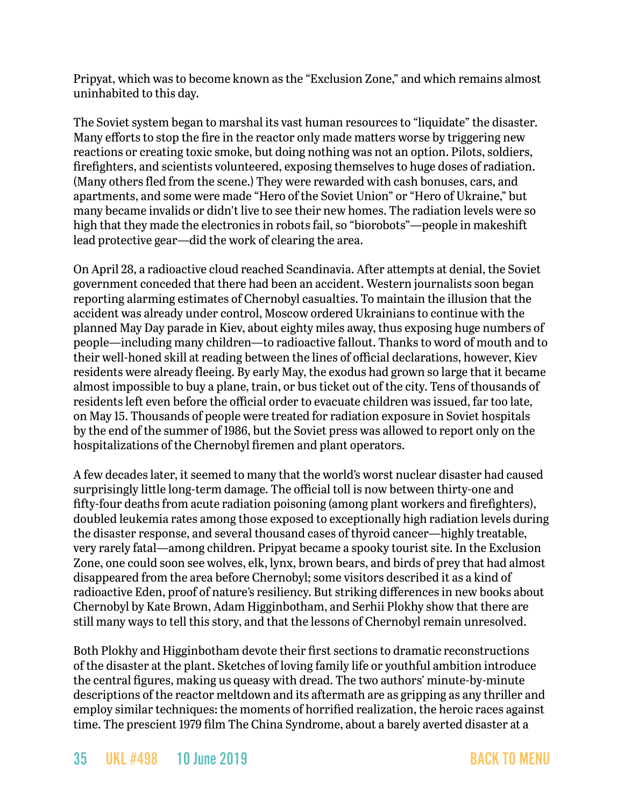Pripyat, which was to become known as the "Exclusion Zone," and which remains almost uninhabited to this day.

The Soviet system began to marshal its vast human resources to "liquidate" the disaster. Many efforts to stop the fire in the reactor only made matters worse by triggering new reactions or creating toxic smoke, but doing nothing was not an option. Pilots, soldiers, firefighters, and scientists volunteered, exposing themselves to huge doses of radiation. (Many others fled from the scene.) They were rewarded with cash bonuses, cars, and apartments, and some were made "Hero of the Soviet Union" or "Hero of Ukraine," but many became invalids or didn't live to see their new homes. The radiation levels were so high that they made the electronics in robots fail, so "biorobots"—people in makeshift lead protective gear—did the work of clearing the area.

On April 28, a radioactive cloud reached Scandinavia. After attempts at denial, the Soviet government conceded that there had been an accident. Western journalists soon began reporting alarming estimates of Chernobyl casualties. To maintain the illusion that the accident was already under control, Moscow ordered Ukrainians to continue with the planned May Day parade in Kiev, about eighty miles away, thus exposing huge numbers of people—including many children—to radioactive fallout. Thanks to word of mouth and to their well-honed skill at reading between the lines of official declarations, however, Kiev residents were already fleeing. By early May, the exodus had grown so large that it became almost impossible to buy a plane, train, or bus ticket out of the city. Tens of thousands of residents left even before the official order to evacuate children was issued, far too late, on May 15. Thousands of people were treated for radiation exposure in Soviet hospitals by the end of the summer of 1986, but the Soviet press was allowed to report only on the hospitalizations of the Chernobyl firemen and plant operators.

A few decades later, it seemed to many that the world's worst nuclear disaster had caused surprisingly little long-term damage. The official toll is now between thirty-one and fifty-four deaths from acute radiation poisoning (among plant workers and firefighters), doubled leukemia rates among those exposed to exceptionally high radiation levels during the disaster response, and several thousand cases of thyroid cancer—highly treatable, very rarely fatal—among children. Pripyat became a spooky tourist site. In the Exclusion Zone, one could soon see wolves, elk, lynx, brown bears, and birds of prey that had almost disappeared from the area before Chernobyl; some visitors described it as a kind of radioactive Eden, proof of nature's resiliency. But striking differences in new books about Chernobyl by Kate Brown, Adam Higginbotham, and Serhii Plokhy show that there are still many ways to tell this story, and that the lessons of Chernobyl remain unresolved.

Both Plokhy and Higginbotham devote their first sections to dramatic reconstructions of the disaster at the plant. Sketches of loving family life or youthful ambition introduce the central figures, making us queasy with dread. The two authors' minute-by-minute descriptions of the reactor meltdown and its aftermath are as gripping as any thriller and employ similar techniques: the moments of horrified realization, the heroic races against time. The prescient 1979 film The China Syndrome, about a barely averted disaster at a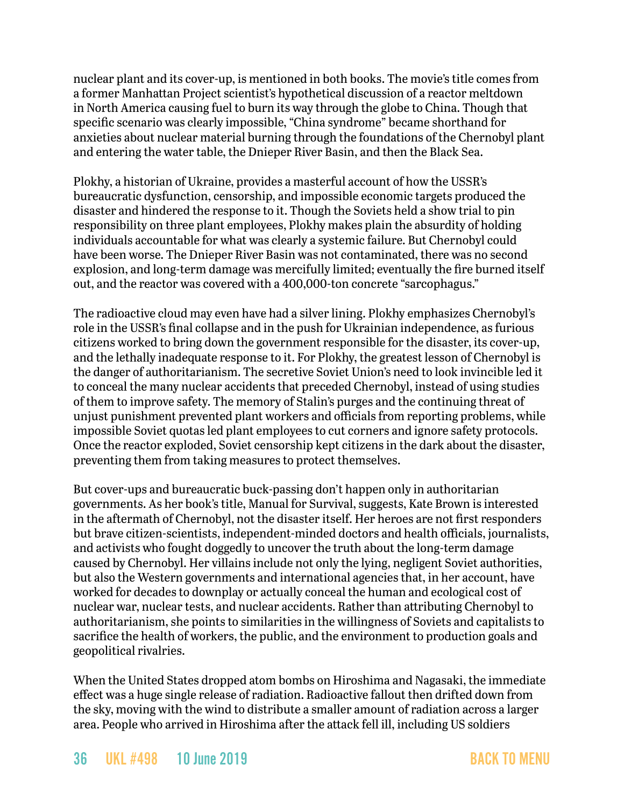nuclear plant and its cover-up, is mentioned in both books. The movie's title comes from a former Manhattan Project scientist's hypothetical discussion of a reactor meltdown in North America causing fuel to burn its way through the globe to China. Though that specific scenario was clearly impossible, "China syndrome" became shorthand for anxieties about nuclear material burning through the foundations of the Chernobyl plant and entering the water table, the Dnieper River Basin, and then the Black Sea.

Plokhy, a historian of Ukraine, provides a masterful account of how the USSR's bureaucratic dysfunction, censorship, and impossible economic targets produced the disaster and hindered the response to it. Though the Soviets held a show trial to pin responsibility on three plant employees, Plokhy makes plain the absurdity of holding individuals accountable for what was clearly a systemic failure. But Chernobyl could have been worse. The Dnieper River Basin was not contaminated, there was no second explosion, and long-term damage was mercifully limited; eventually the fire burned itself out, and the reactor was covered with a 400,000-ton concrete "sarcophagus."

The radioactive cloud may even have had a silver lining. Plokhy emphasizes Chernobyl's role in the USSR's final collapse and in the push for Ukrainian independence, as furious citizens worked to bring down the government responsible for the disaster, its cover-up, and the lethally inadequate response to it. For Plokhy, the greatest lesson of Chernobyl is the danger of authoritarianism. The secretive Soviet Union's need to look invincible led it to conceal the many nuclear accidents that preceded Chernobyl, instead of using studies of them to improve safety. The memory of Stalin's purges and the continuing threat of unjust punishment prevented plant workers and officials from reporting problems, while impossible Soviet quotas led plant employees to cut corners and ignore safety protocols. Once the reactor exploded, Soviet censorship kept citizens in the dark about the disaster, preventing them from taking measures to protect themselves.

But cover-ups and bureaucratic buck-passing don't happen only in authoritarian governments. As her book's title, Manual for Survival, suggests, Kate Brown is interested in the aftermath of Chernobyl, not the disaster itself. Her heroes are not first responders but brave citizen-scientists, independent-minded doctors and health officials, journalists, and activists who fought doggedly to uncover the truth about the long-term damage caused by Chernobyl. Her villains include not only the lying, negligent Soviet authorities, but also the Western governments and international agencies that, in her account, have worked for decades to downplay or actually conceal the human and ecological cost of nuclear war, nuclear tests, and nuclear accidents. Rather than attributing Chernobyl to authoritarianism, she points to similarities in the willingness of Soviets and capitalists to sacrifice the health of workers, the public, and the environment to production goals and geopolitical rivalries.

When the United States dropped atom bombs on Hiroshima and Nagasaki, the immediate effect was a huge single release of radiation. Radioactive fallout then drifted down from the sky, moving with the wind to distribute a smaller amount of radiation across a larger area. People who arrived in Hiroshima after the attack fell ill, including US soldiers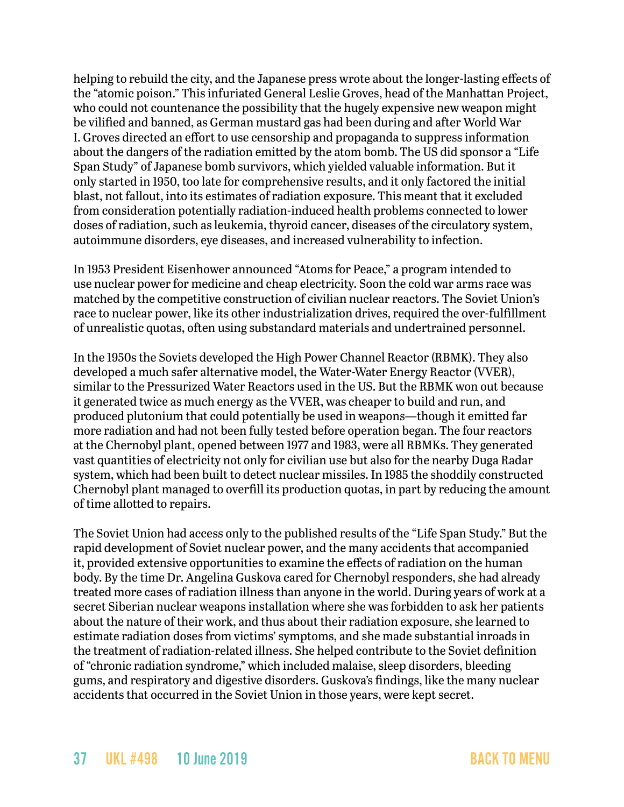helping to rebuild the city, and the Japanese press wrote about the longer-lasting effects of the "atomic poison." This infuriated General Leslie Groves, head of the Manhattan Project, who could not countenance the possibility that the hugely expensive new weapon might be vilified and banned, as German mustard gas had been during and after World War I. Groves directed an effort to use censorship and propaganda to suppress information about the dangers of the radiation emitted by the atom bomb. The US did sponsor a "Life Span Study" of Japanese bomb survivors, which yielded valuable information. But it only started in 1950, too late for comprehensive results, and it only factored the initial blast, not fallout, into its estimates of radiation exposure. This meant that it excluded from consideration potentially radiation-induced health problems connected to lower doses of radiation, such as leukemia, thyroid cancer, diseases of the circulatory system, autoimmune disorders, eye diseases, and increased vulnerability to infection.

In 1953 President Eisenhower announced "Atoms for Peace," a program intended to use nuclear power for medicine and cheap electricity. Soon the cold war arms race was matched by the competitive construction of civilian nuclear reactors. The Soviet Union's race to nuclear power, like its other industrialization drives, required the over-fulfillment of unrealistic quotas, often using substandard materials and undertrained personnel.

In the 1950s the Soviets developed the High Power Channel Reactor (RBMK). They also developed a much safer alternative model, the Water-Water Energy Reactor (VVER), similar to the Pressurized Water Reactors used in the US. But the RBMK won out because it generated twice as much energy as the VVER, was cheaper to build and run, and produced plutonium that could potentially be used in weapons—though it emitted far more radiation and had not been fully tested before operation began. The four reactors at the Chernobyl plant, opened between 1977 and 1983, were all RBMKs. They generated vast quantities of electricity not only for civilian use but also for the nearby Duga Radar system, which had been built to detect nuclear missiles. In 1985 the shoddily constructed Chernobyl plant managed to overfill its production quotas, in part by reducing the amount of time allotted to repairs.

The Soviet Union had access only to the published results of the "Life Span Study." But the rapid development of Soviet nuclear power, and the many accidents that accompanied it, provided extensive opportunities to examine the effects of radiation on the human body. By the time Dr. Angelina Guskova cared for Chernobyl responders, she had already treated more cases of radiation illness than anyone in the world. During years of work at a secret Siberian nuclear weapons installation where she was forbidden to ask her patients about the nature of their work, and thus about their radiation exposure, she learned to estimate radiation doses from victims' symptoms, and she made substantial inroads in the treatment of radiation-related illness. She helped contribute to the Soviet definition of "chronic radiation syndrome," which included malaise, sleep disorders, bleeding gums, and respiratory and digestive disorders. Guskova's findings, like the many nuclear accidents that occurred in the Soviet Union in those years, were kept secret.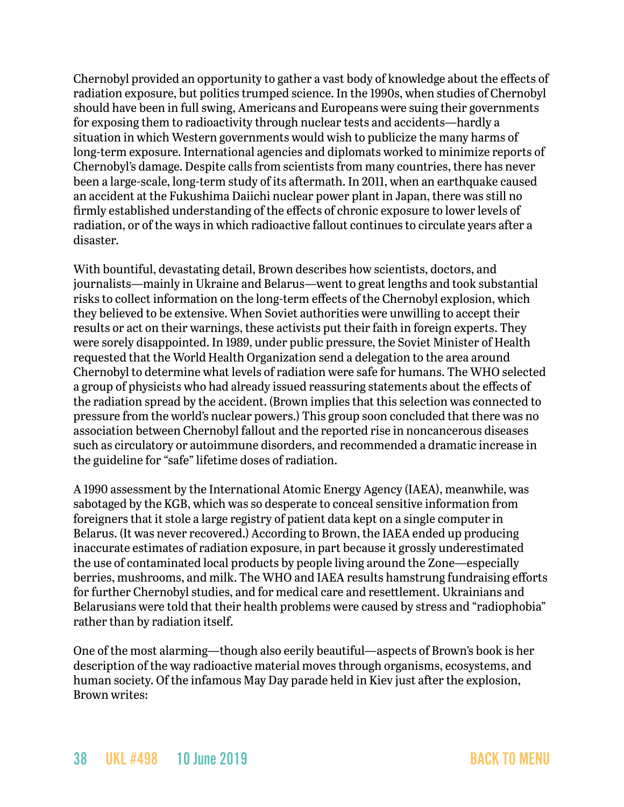Chernobyl provided an opportunity to gather a vast body of knowledge about the effects of radiation exposure, but politics trumped science. In the 1990s, when studies of Chernobyl should have been in full swing, Americans and Europeans were suing their governments for exposing them to radioactivity through nuclear tests and accidents—hardly a situation in which Western governments would wish to publicize the many harms of long-term exposure. International agencies and diplomats worked to minimize reports of Chernobyl's damage. Despite calls from scientists from many countries, there has never been a large-scale, long-term study of its aftermath. In 2011, when an earthquake caused an accident at the Fukushima Daiichi nuclear power plant in Japan, there was still no firmly established understanding of the effects of chronic exposure to lower levels of radiation, or of the ways in which radioactive fallout continues to circulate years after a disaster.

With bountiful, devastating detail, Brown describes how scientists, doctors, and journalists—mainly in Ukraine and Belarus—went to great lengths and took substantial risks to collect information on the long-term effects of the Chernobyl explosion, which they believed to be extensive. When Soviet authorities were unwilling to accept their results or act on their warnings, these activists put their faith in foreign experts. They were sorely disappointed. In 1989, under public pressure, the Soviet Minister of Health requested that the World Health Organization send a delegation to the area around Chernobyl to determine what levels of radiation were safe for humans. The WHO selected a group of physicists who had already issued reassuring statements about the effects of the radiation spread by the accident. (Brown implies that this selection was connected to pressure from the world's nuclear powers.) This group soon concluded that there was no association between Chernobyl fallout and the reported rise in noncancerous diseases such as circulatory or autoimmune disorders, and recommended a dramatic increase in the guideline for "safe" lifetime doses of radiation.

A 1990 assessment by the International Atomic Energy Agency (IAEA), meanwhile, was sabotaged by the KGB, which was so desperate to conceal sensitive information from foreigners that it stole a large registry of patient data kept on a single computer in Belarus. (It was never recovered.) According to Brown, the IAEA ended up producing inaccurate estimates of radiation exposure, in part because it grossly underestimated the use of contaminated local products by people living around the Zone—especially berries, mushrooms, and milk. The WHO and IAEA results hamstrung fundraising efforts for further Chernobyl studies, and for medical care and resettlement. Ukrainians and Belarusians were told that their health problems were caused by stress and "radiophobia" rather than by radiation itself.

One of the most alarming—though also eerily beautiful—aspects of Brown's book is her description of the way radioactive material moves through organisms, ecosystems, and human society. Of the infamous May Day parade held in Kiev just after the explosion, Brown writes: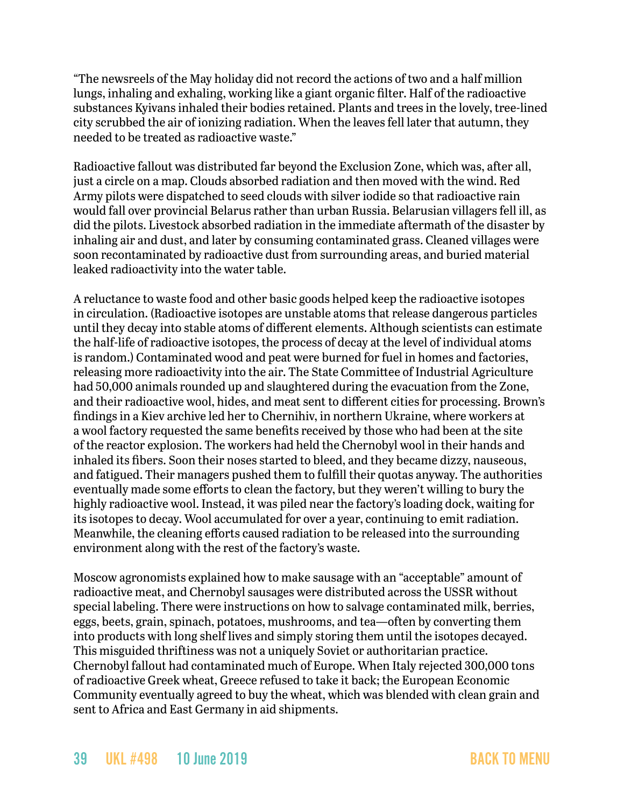"The newsreels of the May holiday did not record the actions of two and a half million lungs, inhaling and exhaling, working like a giant organic filter. Half of the radioactive substances Kyivans inhaled their bodies retained. Plants and trees in the lovely, tree-lined city scrubbed the air of ionizing radiation. When the leaves fell later that autumn, they needed to be treated as radioactive waste."

Radioactive fallout was distributed far beyond the Exclusion Zone, which was, after all, just a circle on a map. Clouds absorbed radiation and then moved with the wind. Red Army pilots were dispatched to seed clouds with silver iodide so that radioactive rain would fall over provincial Belarus rather than urban Russia. Belarusian villagers fell ill, as did the pilots. Livestock absorbed radiation in the immediate aftermath of the disaster by inhaling air and dust, and later by consuming contaminated grass. Cleaned villages were soon recontaminated by radioactive dust from surrounding areas, and buried material leaked radioactivity into the water table.

A reluctance to waste food and other basic goods helped keep the radioactive isotopes in circulation. (Radioactive isotopes are unstable atoms that release dangerous particles until they decay into stable atoms of different elements. Although scientists can estimate the half-life of radioactive isotopes, the process of decay at the level of individual atoms is random.) Contaminated wood and peat were burned for fuel in homes and factories, releasing more radioactivity into the air. The State Committee of Industrial Agriculture had 50,000 animals rounded up and slaughtered during the evacuation from the Zone, and their radioactive wool, hides, and meat sent to different cities for processing. Brown's findings in a Kiev archive led her to Chernihiv, in northern Ukraine, where workers at a wool factory requested the same benefits received by those who had been at the site of the reactor explosion. The workers had held the Chernobyl wool in their hands and inhaled its fibers. Soon their noses started to bleed, and they became dizzy, nauseous, and fatigued. Their managers pushed them to fulfill their quotas anyway. The authorities eventually made some efforts to clean the factory, but they weren't willing to bury the highly radioactive wool. Instead, it was piled near the factory's loading dock, waiting for its isotopes to decay. Wool accumulated for over a year, continuing to emit radiation. Meanwhile, the cleaning efforts caused radiation to be released into the surrounding environment along with the rest of the factory's waste.

Moscow agronomists explained how to make sausage with an "acceptable" amount of radioactive meat, and Chernobyl sausages were distributed across the USSR without special labeling. There were instructions on how to salvage contaminated milk, berries, eggs, beets, grain, spinach, potatoes, mushrooms, and tea—often by converting them into products with long shelf lives and simply storing them until the isotopes decayed. This misguided thriftiness was not a uniquely Soviet or authoritarian practice. Chernobyl fallout had contaminated much of Europe. When Italy rejected 300,000 tons of radioactive Greek wheat, Greece refused to take it back; the European Economic Community eventually agreed to buy the wheat, which was blended with clean grain and sent to Africa and East Germany in aid shipments.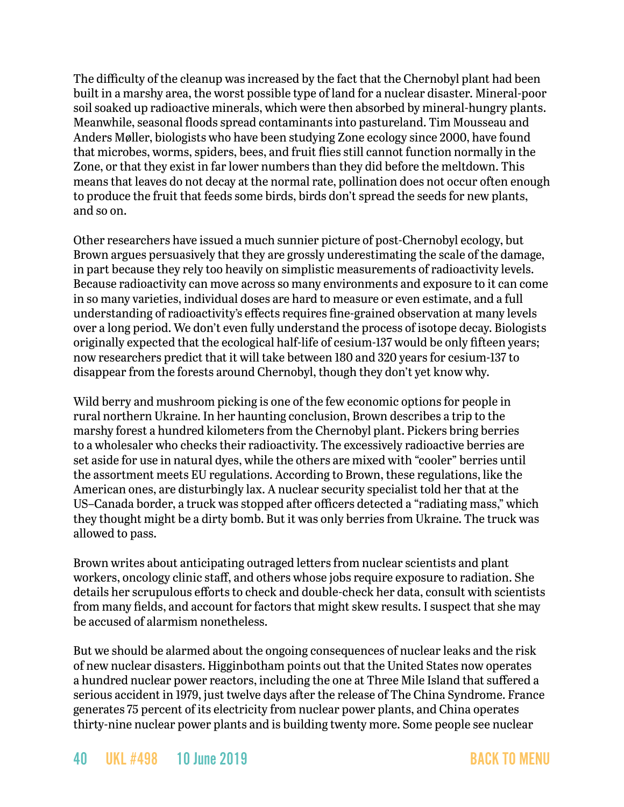The difficulty of the cleanup was increased by the fact that the Chernobyl plant had been built in a marshy area, the worst possible type of land for a nuclear disaster. Mineral-poor soil soaked up radioactive minerals, which were then absorbed by mineral-hungry plants. Meanwhile, seasonal floods spread contaminants into pastureland. Tim Mousseau and Anders Møller, biologists who have been studying Zone ecology since 2000, have found that microbes, worms, spiders, bees, and fruit flies still cannot function normally in the Zone, or that they exist in far lower numbers than they did before the meltdown. This means that leaves do not decay at the normal rate, pollination does not occur often enough to produce the fruit that feeds some birds, birds don't spread the seeds for new plants, and so on.

Other researchers have issued a much sunnier picture of post-Chernobyl ecology, but Brown argues persuasively that they are grossly underestimating the scale of the damage, in part because they rely too heavily on simplistic measurements of radioactivity levels. Because radioactivity can move across so many environments and exposure to it can come in so many varieties, individual doses are hard to measure or even estimate, and a full understanding of radioactivity's effects requires fine-grained observation at many levels over a long period. We don't even fully understand the process of isotope decay. Biologists originally expected that the ecological half-life of cesium-137 would be only fifteen years; now researchers predict that it will take between 180 and 320 years for cesium-137 to disappear from the forests around Chernobyl, though they don't yet know why.

Wild berry and mushroom picking is one of the few economic options for people in rural northern Ukraine. In her haunting conclusion, Brown describes a trip to the marshy forest a hundred kilometers from the Chernobyl plant. Pickers bring berries to a wholesaler who checks their radioactivity. The excessively radioactive berries are set aside for use in natural dyes, while the others are mixed with "cooler" berries until the assortment meets EU regulations. According to Brown, these regulations, like the American ones, are disturbingly lax. A nuclear security specialist told her that at the US–Canada border, a truck was stopped after officers detected a "radiating mass," which they thought might be a dirty bomb. But it was only berries from Ukraine. The truck was allowed to pass.

Brown writes about anticipating outraged letters from nuclear scientists and plant workers, oncology clinic staff, and others whose jobs require exposure to radiation. She details her scrupulous efforts to check and double-check her data, consult with scientists from many fields, and account for factors that might skew results. I suspect that she may be accused of alarmism nonetheless.

But we should be alarmed about the ongoing consequences of nuclear leaks and the risk of new nuclear disasters. Higginbotham points out that the United States now operates a hundred nuclear power reactors, including the one at Three Mile Island that suffered a serious accident in 1979, just twelve days after the release of The China Syndrome. France generates 75 percent of its electricity from nuclear power plants, and China operates thirty-nine nuclear power plants and is building twenty more. Some people see nuclear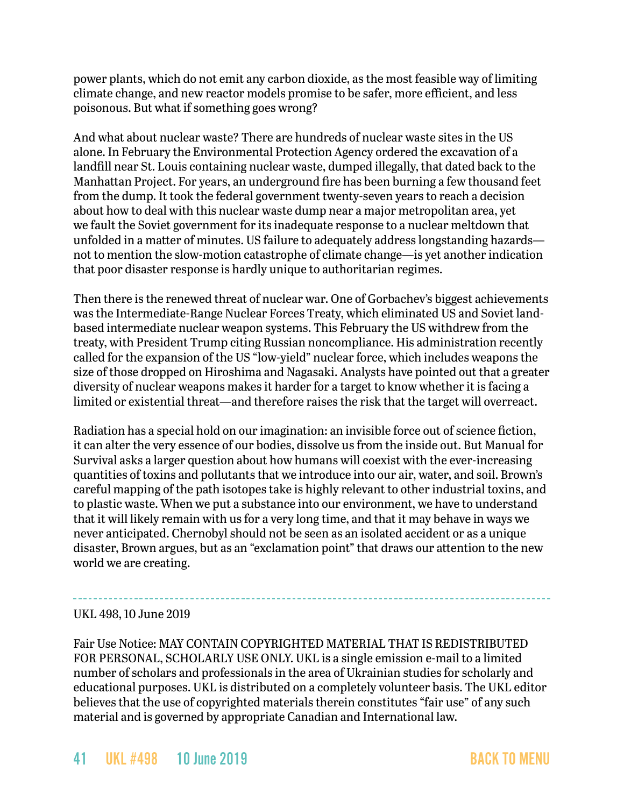power plants, which do not emit any carbon dioxide, as the most feasible way of limiting climate change, and new reactor models promise to be safer, more efficient, and less poisonous. But what if something goes wrong?

And what about nuclear waste? There are hundreds of nuclear waste sites in the US alone. In February the Environmental Protection Agency ordered the excavation of a landfill near St. Louis containing nuclear waste, dumped illegally, that dated back to the Manhattan Project. For years, an underground fire has been burning a few thousand feet from the dump. It took the federal government twenty-seven years to reach a decision about how to deal with this nuclear waste dump near a major metropolitan area, yet we fault the Soviet government for its inadequate response to a nuclear meltdown that unfolded in a matter of minutes. US failure to adequately address longstanding hazards not to mention the slow-motion catastrophe of climate change—is yet another indication that poor disaster response is hardly unique to authoritarian regimes.

Then there is the renewed threat of nuclear war. One of Gorbachev's biggest achievements was the Intermediate-Range Nuclear Forces Treaty, which eliminated US and Soviet landbased intermediate nuclear weapon systems. This February the US withdrew from the treaty, with President Trump citing Russian noncompliance. His administration recently called for the expansion of the US "low-yield" nuclear force, which includes weapons the size of those dropped on Hiroshima and Nagasaki. Analysts have pointed out that a greater diversity of nuclear weapons makes it harder for a target to know whether it is facing a limited or existential threat—and therefore raises the risk that the target will overreact.

Radiation has a special hold on our imagination: an invisible force out of science fiction, it can alter the very essence of our bodies, dissolve us from the inside out. But Manual for Survival asks a larger question about how humans will coexist with the ever-increasing quantities of toxins and pollutants that we introduce into our air, water, and soil. Brown's careful mapping of the path isotopes take is highly relevant to other industrial toxins, and to plastic waste. When we put a substance into our environment, we have to understand that it will likely remain with us for a very long time, and that it may behave in ways we never anticipated. Chernobyl should not be seen as an isolated accident or as a unique disaster, Brown argues, but as an "exclamation point" that draws our attention to the new world we are creating.

#### UKL 498, 10 June 2019

Fair Use Notice: MAY CONTAIN COPYRIGHTED MATERIAL THAT IS REDISTRIBUTED FOR PERSONAL, SCHOLARLY USE ONLY. UKL is a single emission e-mail to a limited number of scholars and professionals in the area of Ukrainian studies for scholarly and educational purposes. UKL is distributed on a completely volunteer basis. The UKL editor believes that the use of copyrighted materials therein constitutes "fair use" of any such material and is governed by appropriate Canadian and International law.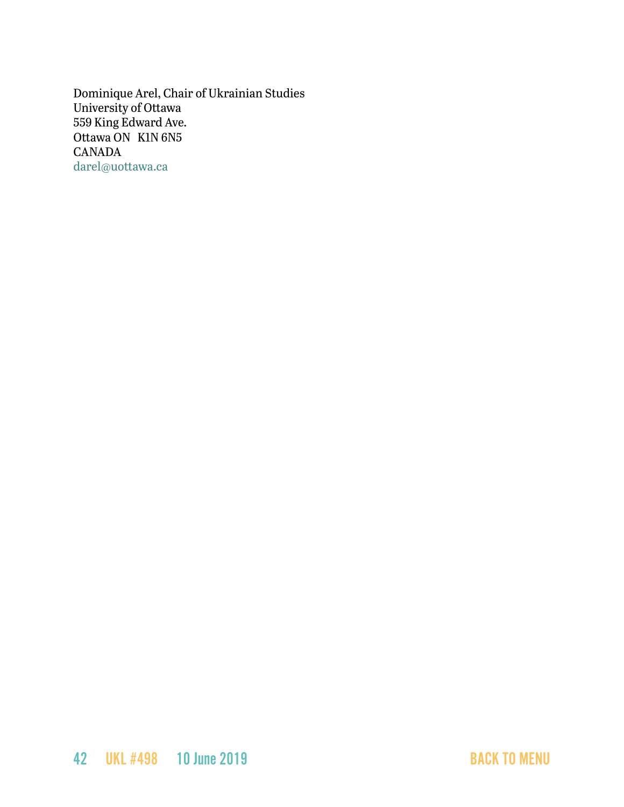Dominique Arel, Chair of Ukrainian Studies University of Ottawa 559 King Edward Ave. Ottawa ON K1N 6N5 CANADA [darel@uottawa.ca](mailto:darel@uottawa.ca)